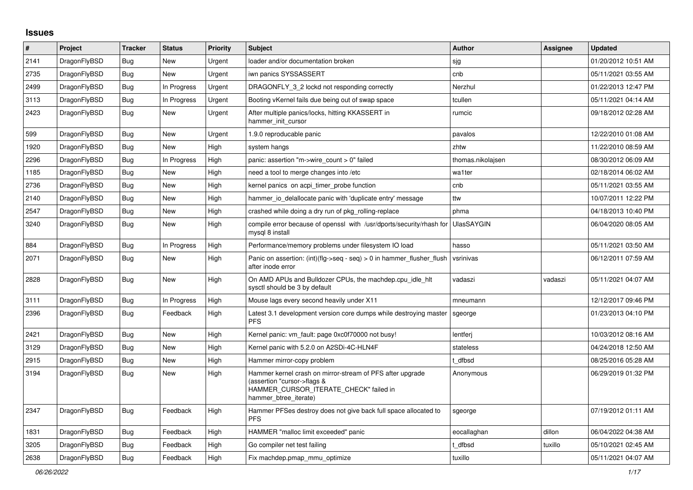## **Issues**

| $\vert$ # | Project      | <b>Tracker</b> | <b>Status</b> | <b>Priority</b> | <b>Subject</b>                                                                                                                                              | <b>Author</b>     | Assignee | <b>Updated</b>      |
|-----------|--------------|----------------|---------------|-----------------|-------------------------------------------------------------------------------------------------------------------------------------------------------------|-------------------|----------|---------------------|
| 2141      | DragonFlyBSD | Bug            | <b>New</b>    | Urgent          | loader and/or documentation broken                                                                                                                          | sjg               |          | 01/20/2012 10:51 AM |
| 2735      | DragonFlyBSD | <b>Bug</b>     | <b>New</b>    | Urgent          | iwn panics SYSSASSERT                                                                                                                                       | cnb               |          | 05/11/2021 03:55 AM |
| 2499      | DragonFlyBSD | <b>Bug</b>     | In Progress   | Urgent          | DRAGONFLY 3 2 lockd not responding correctly                                                                                                                | Nerzhul           |          | 01/22/2013 12:47 PM |
| 3113      | DragonFlyBSD | Bug            | In Progress   | Urgent          | Booting vKernel fails due being out of swap space                                                                                                           | tcullen           |          | 05/11/2021 04:14 AM |
| 2423      | DragonFlyBSD | <b>Bug</b>     | New           | Urgent          | After multiple panics/locks, hitting KKASSERT in<br>hammer_init_cursor                                                                                      | rumcic            |          | 09/18/2012 02:28 AM |
| 599       | DragonFlyBSD | Bug            | New           | Urgent          | 1.9.0 reproducable panic                                                                                                                                    | pavalos           |          | 12/22/2010 01:08 AM |
| 1920      | DragonFlyBSD | Bug            | New           | High            | system hangs                                                                                                                                                | zhtw              |          | 11/22/2010 08:59 AM |
| 2296      | DragonFlyBSD | Bug            | In Progress   | High            | panic: assertion "m->wire count > 0" failed                                                                                                                 | thomas.nikolajsen |          | 08/30/2012 06:09 AM |
| 1185      | DragonFlyBSD | Bug            | New           | High            | need a tool to merge changes into /etc                                                                                                                      | wa1ter            |          | 02/18/2014 06:02 AM |
| 2736      | DragonFlyBSD | Bug            | New           | High            | kernel panics on acpi timer probe function                                                                                                                  | cnb               |          | 05/11/2021 03:55 AM |
| 2140      | DragonFlyBSD | <b>Bug</b>     | New           | High            | hammer io delallocate panic with 'duplicate entry' message                                                                                                  | ttw               |          | 10/07/2011 12:22 PM |
| 2547      | DragonFlyBSD | Bug            | New           | High            | crashed while doing a dry run of pkg rolling-replace                                                                                                        | phma              |          | 04/18/2013 10:40 PM |
| 3240      | DragonFlyBSD | Bug            | <b>New</b>    | High            | compile error because of openssl with /usr/dports/security/rhash for<br>mysql 8 install                                                                     | <b>UlasSAYGIN</b> |          | 06/04/2020 08:05 AM |
| 884       | DragonFlyBSD | <b>Bug</b>     | In Progress   | High            | Performance/memory problems under filesystem IO load                                                                                                        | hasso             |          | 05/11/2021 03:50 AM |
| 2071      | DragonFlyBSD | Bug            | <b>New</b>    | High            | Panic on assertion: (int)(flg->seq - seq) > 0 in hammer flusher flush<br>after inode error                                                                  | vsrinivas         |          | 06/12/2011 07:59 AM |
| 2828      | DragonFlyBSD | <b>Bug</b>     | <b>New</b>    | High            | On AMD APUs and Bulldozer CPUs, the machdep.cpu_idle_hlt<br>sysctl should be 3 by default                                                                   | vadaszi           | vadaszi  | 05/11/2021 04:07 AM |
| 3111      | DragonFlyBSD | Bug            | In Progress   | High            | Mouse lags every second heavily under X11                                                                                                                   | mneumann          |          | 12/12/2017 09:46 PM |
| 2396      | DragonFlyBSD | Bug            | Feedback      | High            | Latest 3.1 development version core dumps while destroying master<br><b>PFS</b>                                                                             | sgeorge           |          | 01/23/2013 04:10 PM |
| 2421      | DragonFlyBSD | <b>Bug</b>     | New           | High            | Kernel panic: vm fault: page 0xc0f70000 not busy!                                                                                                           | lentferj          |          | 10/03/2012 08:16 AM |
| 3129      | DragonFlyBSD | Bug            | New           | High            | Kernel panic with 5.2.0 on A2SDi-4C-HLN4F                                                                                                                   | stateless         |          | 04/24/2018 12:50 AM |
| 2915      | DragonFlyBSD | Bug            | New           | High            | Hammer mirror-copy problem                                                                                                                                  | t dfbsd           |          | 08/25/2016 05:28 AM |
| 3194      | DragonFlyBSD | Bug            | New           | High            | Hammer kernel crash on mirror-stream of PFS after upgrade<br>(assertion "cursor->flags &<br>HAMMER_CURSOR_ITERATE_CHECK" failed in<br>hammer btree iterate) | Anonymous         |          | 06/29/2019 01:32 PM |
| 2347      | DragonFlyBSD | Bug            | Feedback      | High            | Hammer PFSes destroy does not give back full space allocated to<br><b>PFS</b>                                                                               | sgeorge           |          | 07/19/2012 01:11 AM |
| 1831      | DragonFlyBSD | <b>Bug</b>     | Feedback      | High            | HAMMER "malloc limit exceeded" panic                                                                                                                        | eocallaghan       | dillon   | 06/04/2022 04:38 AM |
| 3205      | DragonFlyBSD | <b>Bug</b>     | Feedback      | High            | Go compiler net test failing                                                                                                                                | t dfbsd           | tuxillo  | 05/10/2021 02:45 AM |
| 2638      | DragonFlyBSD | Bug            | Feedback      | High            | Fix machdep.pmap mmu optimize                                                                                                                               | tuxillo           |          | 05/11/2021 04:07 AM |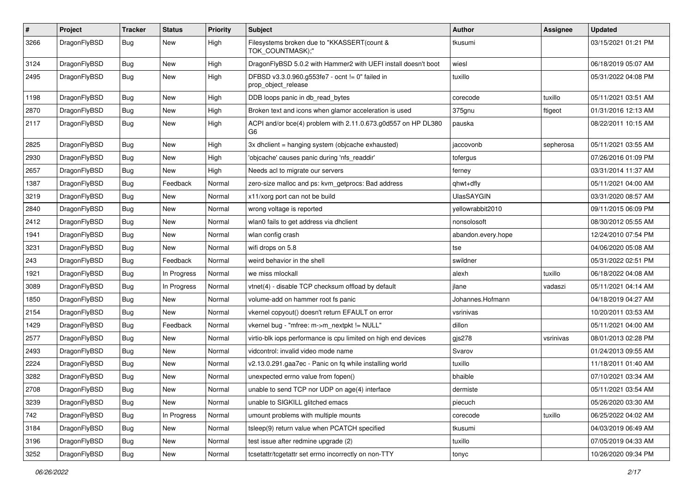| $\pmb{\#}$ | Project      | <b>Tracker</b> | <b>Status</b> | <b>Priority</b> | Subject                                                                | Author             | <b>Assignee</b> | <b>Updated</b>      |
|------------|--------------|----------------|---------------|-----------------|------------------------------------------------------------------------|--------------------|-----------------|---------------------|
| 3266       | DragonFlyBSD | Bug            | New           | High            | Filesystems broken due to "KKASSERT(count &<br>TOK COUNTMASK);"        | tkusumi            |                 | 03/15/2021 01:21 PM |
| 3124       | DragonFlyBSD | <b>Bug</b>     | <b>New</b>    | High            | DragonFlyBSD 5.0.2 with Hammer2 with UEFI install doesn't boot         | wiesl              |                 | 06/18/2019 05:07 AM |
| 2495       | DragonFlyBSD | Bug            | New           | High            | DFBSD v3.3.0.960.g553fe7 - ocnt != 0" failed in<br>prop_object_release | tuxillo            |                 | 05/31/2022 04:08 PM |
| 1198       | DragonFlyBSD | <b>Bug</b>     | New           | High            | DDB loops panic in db read bytes                                       | corecode           | tuxillo         | 05/11/2021 03:51 AM |
| 2870       | DragonFlyBSD | Bug            | <b>New</b>    | High            | Broken text and icons when glamor acceleration is used                 | 375gnu             | ftigeot         | 01/31/2016 12:13 AM |
| 2117       | DragonFlyBSD | Bug            | New           | High            | ACPI and/or bce(4) problem with 2.11.0.673.g0d557 on HP DL380<br>G6    | pauska             |                 | 08/22/2011 10:15 AM |
| 2825       | DragonFlyBSD | <b>Bug</b>     | <b>New</b>    | High            | 3x dhclient = hanging system (objcache exhausted)                      | jaccovonb          | sepherosa       | 05/11/2021 03:55 AM |
| 2930       | DragonFlyBSD | Bug            | New           | High            | 'objcache' causes panic during 'nfs_readdir'                           | tofergus           |                 | 07/26/2016 01:09 PM |
| 2657       | DragonFlyBSD | Bug            | New           | High            | Needs acl to migrate our servers                                       | ferney             |                 | 03/31/2014 11:37 AM |
| 1387       | DragonFlyBSD | <b>Bug</b>     | Feedback      | Normal          | zero-size malloc and ps: kvm_getprocs: Bad address                     | qhwt+dfly          |                 | 05/11/2021 04:00 AM |
| 3219       | DragonFlyBSD | <b>Bug</b>     | New           | Normal          | x11/xorg port can not be build                                         | <b>UlasSAYGIN</b>  |                 | 03/31/2020 08:57 AM |
| 2840       | DragonFlyBSD | Bug            | <b>New</b>    | Normal          | wrong voltage is reported                                              | yellowrabbit2010   |                 | 09/11/2015 06:09 PM |
| 2412       | DragonFlyBSD | <b>Bug</b>     | New           | Normal          | wlan0 fails to get address via dhclient                                | nonsolosoft        |                 | 08/30/2012 05:55 AM |
| 1941       | DragonFlyBSD | Bug            | New           | Normal          | wlan config crash                                                      | abandon.every.hope |                 | 12/24/2010 07:54 PM |
| 3231       | DragonFlyBSD | Bug            | New           | Normal          | wifi drops on 5.8                                                      | tse                |                 | 04/06/2020 05:08 AM |
| 243        | DragonFlyBSD | Bug            | Feedback      | Normal          | weird behavior in the shell                                            | swildner           |                 | 05/31/2022 02:51 PM |
| 1921       | DragonFlyBSD | Bug            | In Progress   | Normal          | we miss mlockall                                                       | alexh              | tuxillo         | 06/18/2022 04:08 AM |
| 3089       | DragonFlyBSD | Bug            | In Progress   | Normal          | vtnet(4) - disable TCP checksum offload by default                     | jlane              | vadaszi         | 05/11/2021 04:14 AM |
| 1850       | DragonFlyBSD | Bug            | New           | Normal          | volume-add on hammer root fs panic                                     | Johannes.Hofmann   |                 | 04/18/2019 04:27 AM |
| 2154       | DragonFlyBSD | <b>Bug</b>     | New           | Normal          | vkernel copyout() doesn't return EFAULT on error                       | vsrinivas          |                 | 10/20/2011 03:53 AM |
| 1429       | DragonFlyBSD | <b>Bug</b>     | Feedback      | Normal          | vkernel bug - "mfree: m->m_nextpkt != NULL"                            | dillon             |                 | 05/11/2021 04:00 AM |
| 2577       | DragonFlyBSD | Bug            | New           | Normal          | virtio-blk iops performance is cpu limited on high end devices         | gis278             | vsrinivas       | 08/01/2013 02:28 PM |
| 2493       | DragonFlyBSD | Bug            | New           | Normal          | vidcontrol: invalid video mode name                                    | Svarov             |                 | 01/24/2013 09:55 AM |
| 2224       | DragonFlyBSD | Bug            | New           | Normal          | v2.13.0.291.gaa7ec - Panic on fq while installing world                | tuxillo            |                 | 11/18/2011 01:40 AM |
| 3282       | DragonFlyBSD | <b>Bug</b>     | New           | Normal          | unexpected errno value from fopen()                                    | bhaible            |                 | 07/10/2021 03:34 AM |
| 2708       | DragonFlyBSD | Bug            | New           | Normal          | unable to send TCP nor UDP on age(4) interface                         | dermiste           |                 | 05/11/2021 03:54 AM |
| 3239       | DragonFlyBSD | Bug            | New           | Normal          | unable to SIGKILL glitched emacs                                       | piecuch            |                 | 05/26/2020 03:30 AM |
| 742        | DragonFlyBSD | Bug            | In Progress   | Normal          | umount problems with multiple mounts                                   | corecode           | tuxillo         | 06/25/2022 04:02 AM |
| 3184       | DragonFlyBSD | <b>Bug</b>     | New           | Normal          | tsleep(9) return value when PCATCH specified                           | tkusumi            |                 | 04/03/2019 06:49 AM |
| 3196       | DragonFlyBSD | <b>Bug</b>     | New           | Normal          | test issue after redmine upgrade (2)                                   | tuxillo            |                 | 07/05/2019 04:33 AM |
| 3252       | DragonFlyBSD | Bug            | New           | Normal          | tcsetattr/tcgetattr set errno incorrectly on non-TTY                   | tonyc              |                 | 10/26/2020 09:34 PM |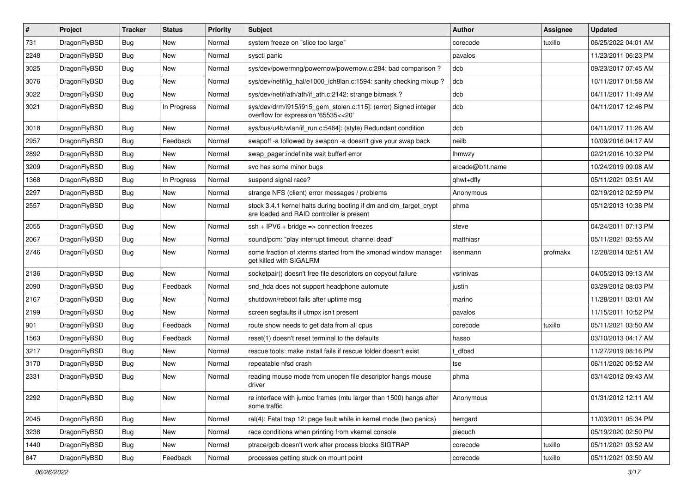| #    | Project      | <b>Tracker</b> | <b>Status</b> | <b>Priority</b> | Subject                                                                                                        | <b>Author</b>   | Assignee | <b>Updated</b>      |
|------|--------------|----------------|---------------|-----------------|----------------------------------------------------------------------------------------------------------------|-----------------|----------|---------------------|
| 731  | DragonFlyBSD | <b>Bug</b>     | New           | Normal          | system freeze on "slice too large"                                                                             | corecode        | tuxillo  | 06/25/2022 04:01 AM |
| 2248 | DragonFlyBSD | Bug            | New           | Normal          | sysctl panic                                                                                                   | pavalos         |          | 11/23/2011 06:23 PM |
| 3025 | DragonFlyBSD | <b>Bug</b>     | New           | Normal          | sys/dev/powermng/powernow/powernow.c:284: bad comparison?                                                      | dcb             |          | 09/23/2017 07:45 AM |
| 3076 | DragonFlyBSD | <b>Bug</b>     | New           | Normal          | sys/dev/netif/ig_hal/e1000_ich8lan.c:1594: sanity checking mixup?                                              | dcb             |          | 10/11/2017 01:58 AM |
| 3022 | DragonFlyBSD | Bug            | <b>New</b>    | Normal          | sys/dev/netif/ath/ath/if_ath.c:2142: strange bitmask?                                                          | dcb             |          | 04/11/2017 11:49 AM |
| 3021 | DragonFlyBSD | Bug            | In Progress   | Normal          | sys/dev/drm/i915/i915_gem_stolen.c:115]: (error) Signed integer<br>overflow for expression '65535<<20'         | dcb             |          | 04/11/2017 12:46 PM |
| 3018 | DragonFlyBSD | Bug            | <b>New</b>    | Normal          | sys/bus/u4b/wlan/if_run.c:5464]: (style) Redundant condition                                                   | dcb             |          | 04/11/2017 11:26 AM |
| 2957 | DragonFlyBSD | <b>Bug</b>     | Feedback      | Normal          | swapoff -a followed by swapon -a doesn't give your swap back                                                   | neilb           |          | 10/09/2016 04:17 AM |
| 2892 | DragonFlyBSD | Bug            | <b>New</b>    | Normal          | swap_pager:indefinite wait bufferf error                                                                       | <b>Ihmwzy</b>   |          | 02/21/2016 10:32 PM |
| 3209 | DragonFlyBSD | Bug            | New           | Normal          | svc has some minor bugs                                                                                        | arcade@b1t.name |          | 10/24/2019 09:08 AM |
| 1368 | DragonFlyBSD | Bug            | In Progress   | Normal          | suspend signal race?                                                                                           | qhwt+dfly       |          | 05/11/2021 03:51 AM |
| 2297 | DragonFlyBSD | Bug            | <b>New</b>    | Normal          | strange NFS (client) error messages / problems                                                                 | Anonymous       |          | 02/19/2012 02:59 PM |
| 2557 | DragonFlyBSD | Bug            | New           | Normal          | stock 3.4.1 kernel halts during booting if dm and dm_target_crypt<br>are loaded and RAID controller is present | phma            |          | 05/12/2013 10:38 PM |
| 2055 | DragonFlyBSD | Bug            | New           | Normal          | $ssh + IPV6 + bridge \Rightarrow connection freezes$                                                           | steve           |          | 04/24/2011 07:13 PM |
| 2067 | DragonFlyBSD | Bug            | New           | Normal          | sound/pcm: "play interrupt timeout, channel dead"                                                              | matthiasr       |          | 05/11/2021 03:55 AM |
| 2746 | DragonFlyBSD | Bug            | New           | Normal          | some fraction of xterms started from the xmonad window manager<br>get killed with SIGALRM                      | isenmann        | profmakx | 12/28/2014 02:51 AM |
| 2136 | DragonFlyBSD | Bug            | <b>New</b>    | Normal          | socketpair() doesn't free file descriptors on copyout failure                                                  | vsrinivas       |          | 04/05/2013 09:13 AM |
| 2090 | DragonFlyBSD | Bug            | Feedback      | Normal          | snd_hda does not support headphone automute                                                                    | justin          |          | 03/29/2012 08:03 PM |
| 2167 | DragonFlyBSD | Bug            | New           | Normal          | shutdown/reboot fails after uptime msg                                                                         | marino          |          | 11/28/2011 03:01 AM |
| 2199 | DragonFlyBSD | Bug            | <b>New</b>    | Normal          | screen segfaults if utmpx isn't present                                                                        | pavalos         |          | 11/15/2011 10:52 PM |
| 901  | DragonFlyBSD | Bug            | Feedback      | Normal          | route show needs to get data from all cpus                                                                     | corecode        | tuxillo  | 05/11/2021 03:50 AM |
| 1563 | DragonFlyBSD | Bug            | Feedback      | Normal          | reset(1) doesn't reset terminal to the defaults                                                                | hasso           |          | 03/10/2013 04:17 AM |
| 3217 | DragonFlyBSD | Bug            | New           | Normal          | rescue tools: make install fails if rescue folder doesn't exist                                                | t dfbsd         |          | 11/27/2019 08:16 PM |
| 3170 | DragonFlyBSD | Bug            | New           | Normal          | repeatable nfsd crash                                                                                          | tse             |          | 06/11/2020 05:52 AM |
| 2331 | DragonFlyBSD | Bug            | New           | Normal          | reading mouse mode from unopen file descriptor hangs mouse<br>driver                                           | phma            |          | 03/14/2012 09:43 AM |
| 2292 | DragonFlyBSD | <b>Bug</b>     | New           | Normal          | re interface with jumbo frames (mtu larger than 1500) hangs after<br>some traffic                              | Anonymous       |          | 01/31/2012 12:11 AM |
| 2045 | DragonFlyBSD | <b>Bug</b>     | New           | Normal          | ral(4): Fatal trap 12: page fault while in kernel mode (two panics)                                            | herrgard        |          | 11/03/2011 05:34 PM |
| 3238 | DragonFlyBSD | <b>Bug</b>     | New           | Normal          | race conditions when printing from vkernel console                                                             | piecuch         |          | 05/19/2020 02:50 PM |
| 1440 | DragonFlyBSD | <b>Bug</b>     | <b>New</b>    | Normal          | ptrace/gdb doesn't work after process blocks SIGTRAP                                                           | corecode        | tuxillo  | 05/11/2021 03:52 AM |
| 847  | DragonFlyBSD | <b>Bug</b>     | Feedback      | Normal          | processes getting stuck on mount point                                                                         | corecode        | tuxillo  | 05/11/2021 03:50 AM |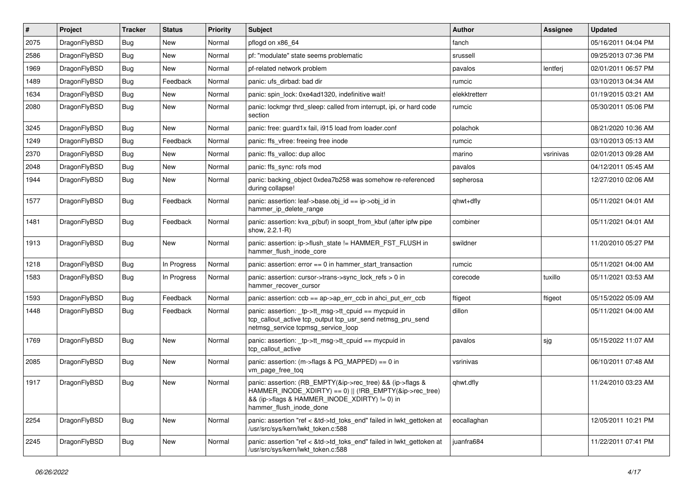| #    | Project      | <b>Tracker</b> | <b>Status</b> | <b>Priority</b> | <b>Subject</b>                                                                                                                                                                                    | <b>Author</b> | Assignee  | <b>Updated</b>      |
|------|--------------|----------------|---------------|-----------------|---------------------------------------------------------------------------------------------------------------------------------------------------------------------------------------------------|---------------|-----------|---------------------|
| 2075 | DragonFlyBSD | <b>Bug</b>     | <b>New</b>    | Normal          | pflogd on x86_64                                                                                                                                                                                  | fanch         |           | 05/16/2011 04:04 PM |
| 2586 | DragonFlyBSD | <b>Bug</b>     | <b>New</b>    | Normal          | pf: "modulate" state seems problematic                                                                                                                                                            | srussell      |           | 09/25/2013 07:36 PM |
| 1969 | DragonFlyBSD | <b>Bug</b>     | New           | Normal          | pf-related network problem                                                                                                                                                                        | pavalos       | lentferj  | 02/01/2011 06:57 PM |
| 1489 | DragonFlyBSD | <b>Bug</b>     | Feedback      | Normal          | panic: ufs dirbad: bad dir                                                                                                                                                                        | rumcic        |           | 03/10/2013 04:34 AM |
| 1634 | DragonFlyBSD | Bug            | New           | Normal          | panic: spin lock: 0xe4ad1320, indefinitive wait!                                                                                                                                                  | elekktretterr |           | 01/19/2015 03:21 AM |
| 2080 | DragonFlyBSD | Bug            | New           | Normal          | panic: lockmgr thrd sleep: called from interrupt, ipi, or hard code<br>section                                                                                                                    | rumcic        |           | 05/30/2011 05:06 PM |
| 3245 | DragonFlyBSD | <b>Bug</b>     | New           | Normal          | panic: free: guard1x fail, i915 load from loader.conf                                                                                                                                             | polachok      |           | 08/21/2020 10:36 AM |
| 1249 | DragonFlyBSD | Bug            | Feedback      | Normal          | panic: ffs vfree: freeing free inode                                                                                                                                                              | rumcic        |           | 03/10/2013 05:13 AM |
| 2370 | DragonFlyBSD | <b>Bug</b>     | New           | Normal          | panic: ffs valloc: dup alloc                                                                                                                                                                      | marino        | vsrinivas | 02/01/2013 09:28 AM |
| 2048 | DragonFlyBSD | Bug            | New           | Normal          | panic: ffs sync: rofs mod                                                                                                                                                                         | pavalos       |           | 04/12/2011 05:45 AM |
| 1944 | DragonFlyBSD | Bug            | New           | Normal          | panic: backing_object 0xdea7b258 was somehow re-referenced<br>during collapse!                                                                                                                    | sepherosa     |           | 12/27/2010 02:06 AM |
| 1577 | DragonFlyBSD | Bug            | Feedback      | Normal          | panic: assertion: leaf->base.obj_id == ip->obj_id in<br>hammer_ip_delete_range                                                                                                                    | qhwt+dfly     |           | 05/11/2021 04:01 AM |
| 1481 | DragonFlyBSD | Bug            | Feedback      | Normal          | panic: assertion: kva_p(buf) in soopt_from_kbuf (after ipfw pipe<br>show, 2.2.1-R)                                                                                                                | combiner      |           | 05/11/2021 04:01 AM |
| 1913 | DragonFlyBSD | Bug            | New           | Normal          | panic: assertion: ip->flush_state != HAMMER_FST_FLUSH in<br>hammer flush inode core                                                                                                               | swildner      |           | 11/20/2010 05:27 PM |
| 1218 | DragonFlyBSD | Bug            | In Progress   | Normal          | panic: assertion: $error == 0$ in hammer start transaction                                                                                                                                        | rumcic        |           | 05/11/2021 04:00 AM |
| 1583 | DragonFlyBSD | <b>Bug</b>     | In Progress   | Normal          | panic: assertion: cursor->trans->sync_lock_refs > 0 in<br>hammer_recover_cursor                                                                                                                   | corecode      | tuxillo   | 05/11/2021 03:53 AM |
| 1593 | DragonFlyBSD | Bug            | Feedback      | Normal          | panic: assertion: $ccb == ap > ap$ err $ccb$ in ahci put err $ccb$                                                                                                                                | ftigeot       | ftigeot   | 05/15/2022 05:09 AM |
| 1448 | DragonFlyBSD | Bug            | Feedback      | Normal          | panic: assertion: _tp->tt_msg->tt_cpuid == mycpuid in<br>tcp_callout_active tcp_output tcp_usr_send netmsg_pru_send<br>netmsg_service tcpmsg_service_loop                                         | dillon        |           | 05/11/2021 04:00 AM |
| 1769 | DragonFlyBSD | <b>Bug</b>     | New           | Normal          | panic: assertion: _tp->tt_msg->tt_cpuid == mycpuid in<br>tcp callout active                                                                                                                       | pavalos       | sjg       | 05/15/2022 11:07 AM |
| 2085 | DragonFlyBSD | Bug            | <b>New</b>    | Normal          | panic: assertion: (m->flags & PG_MAPPED) == 0 in<br>vm_page_free_toq                                                                                                                              | vsrinivas     |           | 06/10/2011 07:48 AM |
| 1917 | DragonFlyBSD | <b>Bug</b>     | New           | Normal          | panic: assertion: (RB_EMPTY(&ip->rec_tree) && (ip->flags &<br>HAMMER_INODE_XDIRTY) == 0)    (!RB_EMPTY(&ip->rec_tree)<br>&& (ip->flags & HAMMER_INODE_XDIRTY) != 0) in<br>hammer flush inode done | qhwt.dfly     |           | 11/24/2010 03:23 AM |
| 2254 | DragonFlyBSD | <b>Bug</b>     | New           | Normal          | panic: assertion "ref < &td->td_toks_end" failed in lwkt_gettoken at<br>/usr/src/sys/kern/lwkt_token.c:588                                                                                        | eocallaghan   |           | 12/05/2011 10:21 PM |
| 2245 | DragonFlyBSD | Bug            | New           | Normal          | panic: assertion "ref < &td->td_toks_end" failed in lwkt_gettoken at<br>/usr/src/sys/kern/lwkt_token.c:588                                                                                        | juanfra684    |           | 11/22/2011 07:41 PM |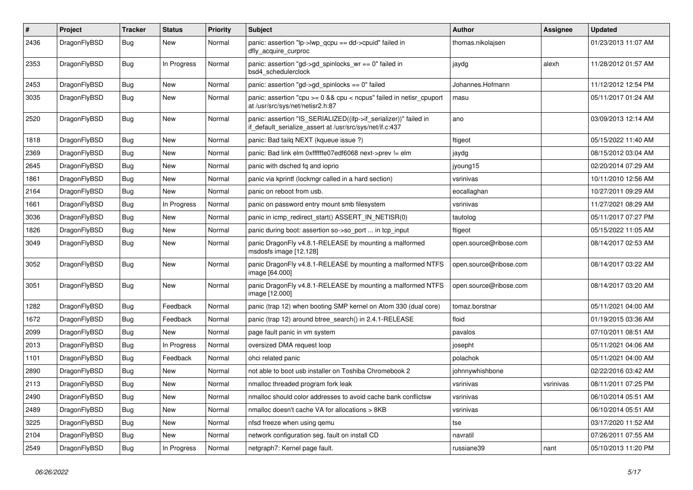| $\sharp$ | Project      | <b>Tracker</b> | <b>Status</b> | <b>Priority</b> | Subject                                                                                                                      | <b>Author</b>          | <b>Assignee</b> | <b>Updated</b>      |
|----------|--------------|----------------|---------------|-----------------|------------------------------------------------------------------------------------------------------------------------------|------------------------|-----------------|---------------------|
| 2436     | DragonFlyBSD | Bug            | New           | Normal          | panic: assertion "lp->lwp_qcpu == dd->cpuid" failed in<br>dfly_acquire_curproc                                               | thomas.nikolajsen      |                 | 01/23/2013 11:07 AM |
| 2353     | DragonFlyBSD | Bug            | In Progress   | Normal          | panic: assertion "gd->gd spinlocks $wr == 0$ " failed in<br>bsd4 schedulerclock                                              | jaydg                  | alexh           | 11/28/2012 01:57 AM |
| 2453     | DragonFlyBSD | Bug            | <b>New</b>    | Normal          | panic: assertion "gd->gd_spinlocks == 0" failed                                                                              | Johannes.Hofmann       |                 | 11/12/2012 12:54 PM |
| 3035     | DragonFlyBSD | Bug            | <b>New</b>    | Normal          | panic: assertion "cpu >= 0 && cpu < ncpus" failed in netisr_cpuport<br>at /usr/src/sys/net/netisr2.h:87                      | masu                   |                 | 05/11/2017 01:24 AM |
| 2520     | DragonFlyBSD | Bug            | <b>New</b>    | Normal          | panic: assertion "IS_SERIALIZED((ifp->if_serializer))" failed in<br>if_default_serialize_assert at /usr/src/sys/net/if.c:437 | ano                    |                 | 03/09/2013 12:14 AM |
| 1818     | DragonFlyBSD | Bug            | New           | Normal          | panic: Bad tailq NEXT (kqueue issue ?)                                                                                       | ftigeot                |                 | 05/15/2022 11:40 AM |
| 2369     | DragonFlyBSD | Bug            | New           | Normal          | panic: Bad link elm 0xffffffe07edf6068 next->prev != elm                                                                     | jaydg                  |                 | 08/15/2012 03:04 AM |
| 2645     | DragonFlyBSD | Bug            | <b>New</b>    | Normal          | panic with dsched fq and ioprio                                                                                              | jyoung15               |                 | 02/20/2014 07:29 AM |
| 1861     | DragonFlyBSD | Bug            | New           | Normal          | panic via kprintf (lockmgr called in a hard section)                                                                         | vsrinivas              |                 | 10/11/2010 12:56 AM |
| 2164     | DragonFlyBSD | Bug            | New           | Normal          | panic on reboot from usb.                                                                                                    | eocallaghan            |                 | 10/27/2011 09:29 AM |
| 1661     | DragonFlyBSD | Bug            | In Progress   | Normal          | panic on password entry mount smb filesystem                                                                                 | vsrinivas              |                 | 11/27/2021 08:29 AM |
| 3036     | DragonFlyBSD | Bug            | New           | Normal          | panic in icmp_redirect_start() ASSERT_IN_NETISR(0)                                                                           | tautolog               |                 | 05/11/2017 07:27 PM |
| 1826     | DragonFlyBSD | Bug            | New           | Normal          | panic during boot: assertion so->so_port  in tcp_input                                                                       | ftigeot                |                 | 05/15/2022 11:05 AM |
| 3049     | DragonFlyBSD | Bug            | New           | Normal          | panic DragonFly v4.8.1-RELEASE by mounting a malformed<br>msdosfs image [12.128]                                             | open.source@ribose.com |                 | 08/14/2017 02:53 AM |
| 3052     | DragonFlyBSD | Bug            | New           | Normal          | panic DragonFly v4.8.1-RELEASE by mounting a malformed NTFS<br>image [64.000]                                                | open.source@ribose.com |                 | 08/14/2017 03:22 AM |
| 3051     | DragonFlyBSD | Bug            | New           | Normal          | panic DragonFly v4.8.1-RELEASE by mounting a malformed NTFS<br>image [12.000]                                                | open.source@ribose.com |                 | 08/14/2017 03:20 AM |
| 1282     | DragonFlyBSD | Bug            | Feedback      | Normal          | panic (trap 12) when booting SMP kernel on Atom 330 (dual core)                                                              | tomaz.borstnar         |                 | 05/11/2021 04:00 AM |
| 1672     | DragonFlyBSD | Bug            | Feedback      | Normal          | panic (trap 12) around btree_search() in 2.4.1-RELEASE                                                                       | floid                  |                 | 01/19/2015 03:36 AM |
| 2099     | DragonFlyBSD | <b>Bug</b>     | New           | Normal          | page fault panic in vm system                                                                                                | pavalos                |                 | 07/10/2011 08:51 AM |
| 2013     | DragonFlyBSD | Bug            | In Progress   | Normal          | oversized DMA request loop                                                                                                   | josepht                |                 | 05/11/2021 04:06 AM |
| 1101     | DragonFlyBSD | Bug            | Feedback      | Normal          | ohci related panic                                                                                                           | polachok               |                 | 05/11/2021 04:00 AM |
| 2890     | DragonFlyBSD | <b>Bug</b>     | New           | Normal          | not able to boot usb installer on Toshiba Chromebook 2                                                                       | johnnywhishbone        |                 | 02/22/2016 03:42 AM |
| 2113     | DragonFlyBSD | <b>Bug</b>     | New           | Normal          | nmalloc threaded program fork leak                                                                                           | vsrinivas              | vsrinivas       | 08/11/2011 07:25 PM |
| 2490     | DragonFlyBSD | <b>Bug</b>     | <b>New</b>    | Normal          | nmalloc should color addresses to avoid cache bank conflictsw                                                                | vsrinivas              |                 | 06/10/2014 05:51 AM |
| 2489     | DragonFlyBSD | <b>Bug</b>     | <b>New</b>    | Normal          | nmalloc doesn't cache VA for allocations > 8KB                                                                               | vsrinivas              |                 | 06/10/2014 05:51 AM |
| 3225     | DragonFlyBSD | <b>Bug</b>     | New           | Normal          | nfsd freeze when using gemu                                                                                                  | tse                    |                 | 03/17/2020 11:52 AM |
| 2104     | DragonFlyBSD | <b>Bug</b>     | New           | Normal          | network configuration seg. fault on install CD                                                                               | navratil               |                 | 07/26/2011 07:55 AM |
| 2549     | DragonFlyBSD | <b>Bug</b>     | In Progress   | Normal          | netgraph7: Kernel page fault.                                                                                                | russiane39             | nant            | 05/10/2013 11:20 PM |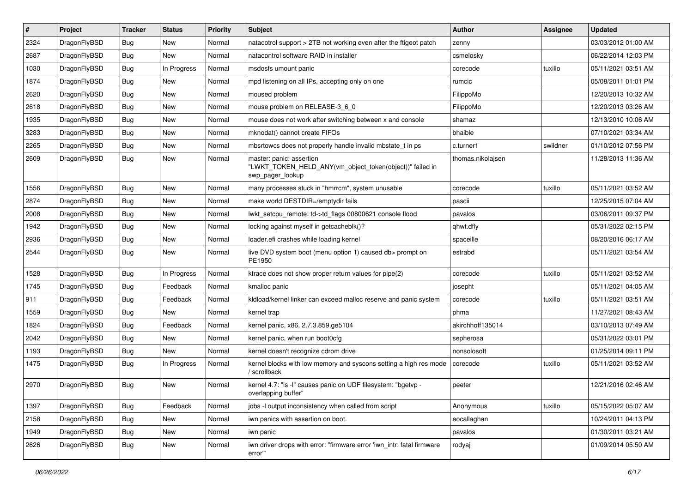| $\#$ | Project      | <b>Tracker</b> | <b>Status</b> | <b>Priority</b> | Subject                                                                                                  | <b>Author</b>     | <b>Assignee</b> | <b>Updated</b>      |
|------|--------------|----------------|---------------|-----------------|----------------------------------------------------------------------------------------------------------|-------------------|-----------------|---------------------|
| 2324 | DragonFlyBSD | Bug            | New           | Normal          | natacotrol support > 2TB not working even after the ftigeot patch                                        | zenny             |                 | 03/03/2012 01:00 AM |
| 2687 | DragonFlyBSD | Bug            | <b>New</b>    | Normal          | natacontrol software RAID in installer                                                                   | csmelosky         |                 | 06/22/2014 12:03 PM |
| 1030 | DragonFlyBSD | Bug            | In Progress   | Normal          | msdosfs umount panic                                                                                     | corecode          | tuxillo         | 05/11/2021 03:51 AM |
| 1874 | DragonFlyBSD | Bug            | New           | Normal          | mpd listening on all IPs, accepting only on one                                                          | rumcic            |                 | 05/08/2011 01:01 PM |
| 2620 | DragonFlyBSD | Bug            | <b>New</b>    | Normal          | moused problem                                                                                           | FilippoMo         |                 | 12/20/2013 10:32 AM |
| 2618 | DragonFlyBSD | Bug            | New           | Normal          | mouse problem on RELEASE-3_6_0                                                                           | FilippoMo         |                 | 12/20/2013 03:26 AM |
| 1935 | DragonFlyBSD | Bug            | New           | Normal          | mouse does not work after switching between x and console                                                | shamaz            |                 | 12/13/2010 10:06 AM |
| 3283 | DragonFlyBSD | Bug            | <b>New</b>    | Normal          | mknodat() cannot create FIFOs                                                                            | bhaible           |                 | 07/10/2021 03:34 AM |
| 2265 | DragonFlyBSD | Bug            | New           | Normal          | mbsrtowcs does not properly handle invalid mbstate_t in ps                                               | c.turner1         | swildner        | 01/10/2012 07:56 PM |
| 2609 | DragonFlyBSD | <b>Bug</b>     | New           | Normal          | master: panic: assertion<br>"LWKT_TOKEN_HELD_ANY(vm_object_token(object))" failed in<br>swp_pager_lookup | thomas.nikolajsen |                 | 11/28/2013 11:36 AM |
| 1556 | DragonFlyBSD | Bug            | <b>New</b>    | Normal          | many processes stuck in "hmrrcm", system unusable                                                        | corecode          | tuxillo         | 05/11/2021 03:52 AM |
| 2874 | DragonFlyBSD | Bug            | New           | Normal          | make world DESTDIR=/emptydir fails                                                                       | pascii            |                 | 12/25/2015 07:04 AM |
| 2008 | DragonFlyBSD | Bug            | <b>New</b>    | Normal          | lwkt_setcpu_remote: td->td_flags 00800621 console flood                                                  | pavalos           |                 | 03/06/2011 09:37 PM |
| 1942 | DragonFlyBSD | Bug            | New           | Normal          | locking against myself in getcacheblk()?                                                                 | qhwt.dfly         |                 | 05/31/2022 02:15 PM |
| 2936 | DragonFlyBSD | Bug            | New           | Normal          | loader.efi crashes while loading kernel                                                                  | spaceille         |                 | 08/20/2016 06:17 AM |
| 2544 | DragonFlyBSD | Bug            | New           | Normal          | live DVD system boot (menu option 1) caused db> prompt on<br>PE1950                                      | estrabd           |                 | 05/11/2021 03:54 AM |
| 1528 | DragonFlyBSD | Bug            | In Progress   | Normal          | ktrace does not show proper return values for pipe(2)                                                    | corecode          | tuxillo         | 05/11/2021 03:52 AM |
| 1745 | DragonFlyBSD | Bug            | Feedback      | Normal          | kmalloc panic                                                                                            | josepht           |                 | 05/11/2021 04:05 AM |
| 911  | DragonFlyBSD | <b>Bug</b>     | Feedback      | Normal          | kldload/kernel linker can exceed malloc reserve and panic system                                         | corecode          | tuxillo         | 05/11/2021 03:51 AM |
| 1559 | DragonFlyBSD | Bug            | New           | Normal          | kernel trap                                                                                              | phma              |                 | 11/27/2021 08:43 AM |
| 1824 | DragonFlyBSD | Bug            | Feedback      | Normal          | kernel panic, x86, 2.7.3.859.ge5104                                                                      | akirchhoff135014  |                 | 03/10/2013 07:49 AM |
| 2042 | DragonFlyBSD | Bug            | New           | Normal          | kernel panic, when run boot0cfg                                                                          | sepherosa         |                 | 05/31/2022 03:01 PM |
| 1193 | DragonFlyBSD | Bug            | New           | Normal          | kernel doesn't recognize cdrom drive                                                                     | nonsolosoft       |                 | 01/25/2014 09:11 PM |
| 1475 | DragonFlyBSD | Bug            | In Progress   | Normal          | kernel blocks with low memory and syscons setting a high res mode<br>/ scrollback                        | corecode          | tuxillo         | 05/11/2021 03:52 AM |
| 2970 | DragonFlyBSD | Bug            | New           | Normal          | kernel 4.7: "Is -I" causes panic on UDF filesystem: "bgetvp -<br>overlapping buffer"                     | peeter            |                 | 12/21/2016 02:46 AM |
| 1397 | DragonFlyBSD | Bug            | Feedback      | Normal          | jobs -I output inconsistency when called from script                                                     | Anonymous         | tuxillo         | 05/15/2022 05:07 AM |
| 2158 | DragonFlyBSD | <b>Bug</b>     | New           | Normal          | iwn panics with assertion on boot.                                                                       | eocallaghan       |                 | 10/24/2011 04:13 PM |
| 1949 | DragonFlyBSD | <b>Bug</b>     | <b>New</b>    | Normal          | iwn panic                                                                                                | pavalos           |                 | 01/30/2011 03:21 AM |
| 2626 | DragonFlyBSD | Bug            | New           | Normal          | iwn driver drops with error: "firmware error 'iwn_intr: fatal firmware<br>error""                        | rodyaj            |                 | 01/09/2014 05:50 AM |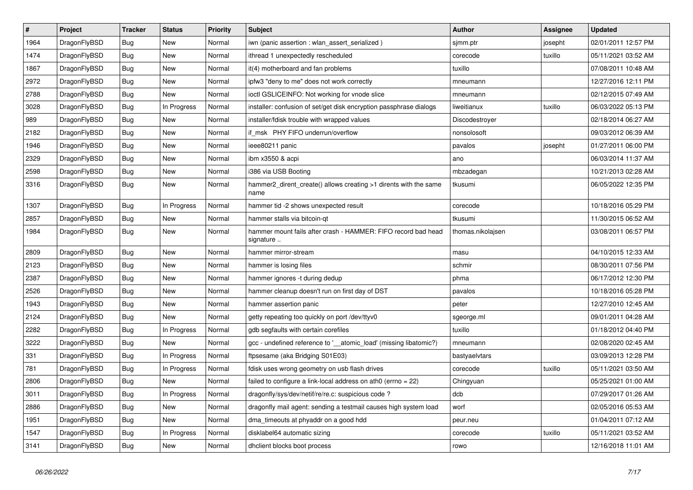| $\pmb{\#}$ | Project      | <b>Tracker</b> | <b>Status</b> | Priority | <b>Subject</b>                                                             | Author            | Assignee | <b>Updated</b>      |
|------------|--------------|----------------|---------------|----------|----------------------------------------------------------------------------|-------------------|----------|---------------------|
| 1964       | DragonFlyBSD | <b>Bug</b>     | New           | Normal   | iwn (panic assertion : wlan assert serialized)                             | simm.ptr          | josepht  | 02/01/2011 12:57 PM |
| 1474       | DragonFlyBSD | Bug            | New           | Normal   | ithread 1 unexpectedly rescheduled                                         | corecode          | tuxillo  | 05/11/2021 03:52 AM |
| 1867       | DragonFlyBSD | <b>Bug</b>     | New           | Normal   | it(4) motherboard and fan problems                                         | tuxillo           |          | 07/08/2011 10:48 AM |
| 2972       | DragonFlyBSD | <b>Bug</b>     | New           | Normal   | ipfw3 "deny to me" does not work correctly                                 | mneumann          |          | 12/27/2016 12:11 PM |
| 2788       | DragonFlyBSD | <b>Bug</b>     | New           | Normal   | ioctl GSLICEINFO: Not working for vnode slice                              | mneumann          |          | 02/12/2015 07:49 AM |
| 3028       | DragonFlyBSD | Bug            | In Progress   | Normal   | installer: confusion of set/get disk encryption passphrase dialogs         | liweitianux       | tuxillo  | 06/03/2022 05:13 PM |
| 989        | DragonFlyBSD | <b>Bug</b>     | New           | Normal   | installer/fdisk trouble with wrapped values                                | Discodestroyer    |          | 02/18/2014 06:27 AM |
| 2182       | DragonFlyBSD | Bug            | New           | Normal   | if msk PHY FIFO underrun/overflow                                          | nonsolosoft       |          | 09/03/2012 06:39 AM |
| 1946       | DragonFlyBSD | <b>Bug</b>     | New           | Normal   | ieee80211 panic                                                            | pavalos           | josepht  | 01/27/2011 06:00 PM |
| 2329       | DragonFlyBSD | <b>Bug</b>     | <b>New</b>    | Normal   | ibm x3550 & acpi                                                           | ano               |          | 06/03/2014 11:37 AM |
| 2598       | DragonFlyBSD | <b>Bug</b>     | New           | Normal   | i386 via USB Booting                                                       | mbzadegan         |          | 10/21/2013 02:28 AM |
| 3316       | DragonFlyBSD | <b>Bug</b>     | New           | Normal   | hammer2_dirent_create() allows creating >1 dirents with the same<br>name   | tkusumi           |          | 06/05/2022 12:35 PM |
| 1307       | DragonFlyBSD | Bug            | In Progress   | Normal   | hammer tid -2 shows unexpected result                                      | corecode          |          | 10/18/2016 05:29 PM |
| 2857       | DragonFlyBSD | <b>Bug</b>     | <b>New</b>    | Normal   | hammer stalls via bitcoin-qt                                               | tkusumi           |          | 11/30/2015 06:52 AM |
| 1984       | DragonFlyBSD | <b>Bug</b>     | New           | Normal   | hammer mount fails after crash - HAMMER: FIFO record bad head<br>signature | thomas.nikolajsen |          | 03/08/2011 06:57 PM |
| 2809       | DragonFlyBSD | <b>Bug</b>     | <b>New</b>    | Normal   | hammer mirror-stream                                                       | masu              |          | 04/10/2015 12:33 AM |
| 2123       | DragonFlyBSD | Bug            | New           | Normal   | hammer is losing files                                                     | schmir            |          | 08/30/2011 07:56 PM |
| 2387       | DragonFlyBSD | <b>Bug</b>     | <b>New</b>    | Normal   | hammer ignores -t during dedup                                             | phma              |          | 06/17/2012 12:30 PM |
| 2526       | DragonFlyBSD | <b>Bug</b>     | <b>New</b>    | Normal   | hammer cleanup doesn't run on first day of DST                             | pavalos           |          | 10/18/2016 05:28 PM |
| 1943       | DragonFlyBSD | <b>Bug</b>     | New           | Normal   | hammer assertion panic                                                     | peter             |          | 12/27/2010 12:45 AM |
| 2124       | DragonFlyBSD | <b>Bug</b>     | <b>New</b>    | Normal   | getty repeating too quickly on port /dev/ttyv0                             | sgeorge.ml        |          | 09/01/2011 04:28 AM |
| 2282       | DragonFlyBSD | <b>Bug</b>     | In Progress   | Normal   | gdb segfaults with certain corefiles                                       | tuxillo           |          | 01/18/2012 04:40 PM |
| 3222       | DragonFlyBSD | <b>Bug</b>     | <b>New</b>    | Normal   | gcc - undefined reference to '__atomic_load' (missing libatomic?)          | mneumann          |          | 02/08/2020 02:45 AM |
| 331        | DragonFlyBSD | Bug            | In Progress   | Normal   | ftpsesame (aka Bridging S01E03)                                            | bastyaelvtars     |          | 03/09/2013 12:28 PM |
| 781        | DragonFlyBSD | <b>Bug</b>     | In Progress   | Normal   | fdisk uses wrong geometry on usb flash drives                              | corecode          | tuxillo  | 05/11/2021 03:50 AM |
| 2806       | DragonFlyBSD | <b>Bug</b>     | New           | Normal   | failed to configure a link-local address on ath0 (errno = 22)              | Chingyuan         |          | 05/25/2021 01:00 AM |
| 3011       | DragonFlyBSD | <b>Bug</b>     | In Progress   | Normal   | dragonfly/sys/dev/netif/re/re.c: suspicious code ?                         | dcb               |          | 07/29/2017 01:26 AM |
| 2886       | DragonFlyBSD | <b>Bug</b>     | <b>New</b>    | Normal   | dragonfly mail agent: sending a testmail causes high system load           | worf              |          | 02/05/2016 05:53 AM |
| 1951       | DragonFlyBSD | Bug            | <b>New</b>    | Normal   | dma_timeouts at phyaddr on a good hdd                                      | peur.neu          |          | 01/04/2011 07:12 AM |
| 1547       | DragonFlyBSD | Bug            | In Progress   | Normal   | disklabel64 automatic sizing                                               | corecode          | tuxillo  | 05/11/2021 03:52 AM |
| 3141       | DragonFlyBSD | <b>Bug</b>     | <b>New</b>    | Normal   | dholient blocks boot process                                               | rowo              |          | 12/16/2018 11:01 AM |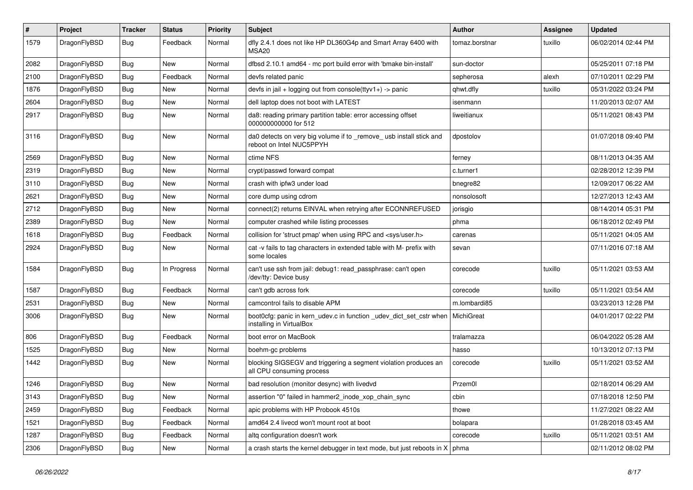| #    | Project      | <b>Tracker</b> | <b>Status</b> | <b>Priority</b> | Subject                                                                                         | Author         | Assignee | <b>Updated</b>      |
|------|--------------|----------------|---------------|-----------------|-------------------------------------------------------------------------------------------------|----------------|----------|---------------------|
| 1579 | DragonFlyBSD | Bug            | Feedback      | Normal          | dfly 2.4.1 does not like HP DL360G4p and Smart Array 6400 with<br>MSA <sub>20</sub>             | tomaz.borstnar | tuxillo  | 06/02/2014 02:44 PM |
| 2082 | DragonFlyBSD | Bug            | New           | Normal          | dfbsd 2.10.1 amd64 - mc port build error with 'bmake bin-install'                               | sun-doctor     |          | 05/25/2011 07:18 PM |
| 2100 | DragonFlyBSD | Bug            | Feedback      | Normal          | devfs related panic                                                                             | sepherosa      | alexh    | 07/10/2011 02:29 PM |
| 1876 | DragonFlyBSD | <b>Bug</b>     | <b>New</b>    | Normal          | devfs in jail + logging out from console(ttyv1+) -> panic                                       | qhwt.dfly      | tuxillo  | 05/31/2022 03:24 PM |
| 2604 | DragonFlyBSD | <b>Bug</b>     | New           | Normal          | dell laptop does not boot with LATEST                                                           | isenmann       |          | 11/20/2013 02:07 AM |
| 2917 | DragonFlyBSD | Bug            | <b>New</b>    | Normal          | da8: reading primary partition table: error accessing offset<br>000000000000 for 512            | liweitianux    |          | 05/11/2021 08:43 PM |
| 3116 | DragonFlyBSD | Bug            | <b>New</b>    | Normal          | da0 detects on very big volume if to _remove_ usb install stick and<br>reboot on Intel NUC5PPYH | dpostolov      |          | 01/07/2018 09:40 PM |
| 2569 | DragonFlyBSD | Bug            | <b>New</b>    | Normal          | ctime NFS                                                                                       | ferney         |          | 08/11/2013 04:35 AM |
| 2319 | DragonFlyBSD | Bug            | <b>New</b>    | Normal          | crypt/passwd forward compat                                                                     | c.turner1      |          | 02/28/2012 12:39 PM |
| 3110 | DragonFlyBSD | Bug            | <b>New</b>    | Normal          | crash with ipfw3 under load                                                                     | bnegre82       |          | 12/09/2017 06:22 AM |
| 2621 | DragonFlyBSD | <b>Bug</b>     | New           | Normal          | core dump using cdrom                                                                           | nonsolosoft    |          | 12/27/2013 12:43 AM |
| 2712 | DragonFlyBSD | Bug            | <b>New</b>    | Normal          | connect(2) returns EINVAL when retrying after ECONNREFUSED                                      | jorisgio       |          | 08/14/2014 05:31 PM |
| 2389 | DragonFlyBSD | <b>Bug</b>     | New           | Normal          | computer crashed while listing processes                                                        | phma           |          | 06/18/2012 02:49 PM |
| 1618 | DragonFlyBSD | <b>Bug</b>     | Feedback      | Normal          | collision for 'struct pmap' when using RPC and <sys user.h=""></sys>                            | carenas        |          | 05/11/2021 04:05 AM |
| 2924 | DragonFlyBSD | Bug            | New           | Normal          | cat -v fails to tag characters in extended table with M- prefix with<br>some locales            | sevan          |          | 07/11/2016 07:18 AM |
| 1584 | DragonFlyBSD | <b>Bug</b>     | In Progress   | Normal          | can't use ssh from jail: debug1: read_passphrase: can't open<br>/dev/tty: Device busy           | corecode       | tuxillo  | 05/11/2021 03:53 AM |
| 1587 | DragonFlyBSD | <b>Bug</b>     | Feedback      | Normal          | can't gdb across fork                                                                           | corecode       | tuxillo  | 05/11/2021 03:54 AM |
| 2531 | DragonFlyBSD | Bug            | New           | Normal          | camcontrol fails to disable APM                                                                 | m.lombardi85   |          | 03/23/2013 12:28 PM |
| 3006 | DragonFlyBSD | Bug            | New           | Normal          | boot0cfg: panic in kern_udev.c in function _udev_dict_set_cstr when<br>installing in VirtualBox | MichiGreat     |          | 04/01/2017 02:22 PM |
| 806  | DragonFlyBSD | <b>Bug</b>     | Feedback      | Normal          | boot error on MacBook                                                                           | tralamazza     |          | 06/04/2022 05:28 AM |
| 1525 | DragonFlyBSD | <b>Bug</b>     | <b>New</b>    | Normal          | boehm-gc problems                                                                               | hasso          |          | 10/13/2012 07:13 PM |
| 1442 | DragonFlyBSD | Bug            | New           | Normal          | blocking SIGSEGV and triggering a segment violation produces an<br>all CPU consuming process    | corecode       | tuxillo  | 05/11/2021 03:52 AM |
| 1246 | DragonFlyBSD | <b>Bug</b>     | <b>New</b>    | Normal          | bad resolution (monitor desync) with livedvd                                                    | Przem0l        |          | 02/18/2014 06:29 AM |
| 3143 | DragonFlyBSD | <b>Bug</b>     | New           | Normal          | assertion "0" failed in hammer2_inode_xop_chain_sync                                            | cbin           |          | 07/18/2018 12:50 PM |
| 2459 | DragonFlyBSD | <b>Bug</b>     | Feedback      | Normal          | apic problems with HP Probook 4510s                                                             | thowe          |          | 11/27/2021 08:22 AM |
| 1521 | DragonFlyBSD | Bug            | Feedback      | Normal          | amd64 2.4 livecd won't mount root at boot                                                       | bolapara       |          | 01/28/2018 03:45 AM |
| 1287 | DragonFlyBSD | Bug            | Feedback      | Normal          | altq configuration doesn't work                                                                 | corecode       | tuxillo  | 05/11/2021 03:51 AM |
| 2306 | DragonFlyBSD | <b>Bug</b>     | New           | Normal          | a crash starts the kernel debugger in text mode, but just reboots in $X \mid p$ hma             |                |          | 02/11/2012 08:02 PM |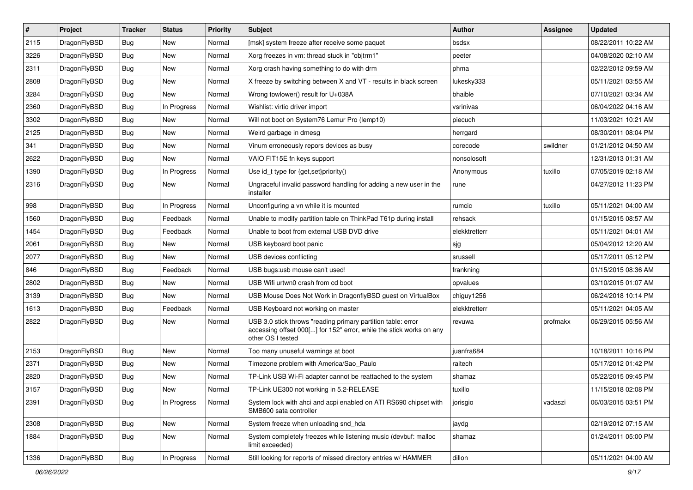| $\sharp$ | Project      | <b>Tracker</b> | <b>Status</b> | <b>Priority</b> | Subject                                                                                                                                                  | <b>Author</b> | Assignee | <b>Updated</b>      |
|----------|--------------|----------------|---------------|-----------------|----------------------------------------------------------------------------------------------------------------------------------------------------------|---------------|----------|---------------------|
| 2115     | DragonFlyBSD | Bug            | New           | Normal          | [msk] system freeze after receive some paquet                                                                                                            | bsdsx         |          | 08/22/2011 10:22 AM |
| 3226     | DragonFlyBSD | Bug            | <b>New</b>    | Normal          | Xorg freezes in vm: thread stuck in "objtrm1"                                                                                                            | peeter        |          | 04/08/2020 02:10 AM |
| 2311     | DragonFlyBSD | <b>Bug</b>     | <b>New</b>    | Normal          | Xorg crash having something to do with drm                                                                                                               | phma          |          | 02/22/2012 09:59 AM |
| 2808     | DragonFlyBSD | <b>Bug</b>     | New           | Normal          | X freeze by switching between X and VT - results in black screen                                                                                         | lukesky333    |          | 05/11/2021 03:55 AM |
| 3284     | DragonFlyBSD | Bug            | <b>New</b>    | Normal          | Wrong towlower() result for U+038A                                                                                                                       | bhaible       |          | 07/10/2021 03:34 AM |
| 2360     | DragonFlyBSD | Bug            | In Progress   | Normal          | Wishlist: virtio driver import                                                                                                                           | vsrinivas     |          | 06/04/2022 04:16 AM |
| 3302     | DragonFlyBSD | <b>Bug</b>     | New           | Normal          | Will not boot on System76 Lemur Pro (lemp10)                                                                                                             | piecuch       |          | 11/03/2021 10:21 AM |
| 2125     | DragonFlyBSD | <b>Bug</b>     | <b>New</b>    | Normal          | Weird garbage in dmesg                                                                                                                                   | herrgard      |          | 08/30/2011 08:04 PM |
| 341      | DragonFlyBSD | <b>Bug</b>     | New           | Normal          | Vinum erroneously repors devices as busy                                                                                                                 | corecode      | swildner | 01/21/2012 04:50 AM |
| 2622     | DragonFlyBSD | Bug            | New           | Normal          | VAIO FIT15E fn keys support                                                                                                                              | nonsolosoft   |          | 12/31/2013 01:31 AM |
| 1390     | DragonFlyBSD | <b>Bug</b>     | In Progress   | Normal          | Use id_t type for {get,set}priority()                                                                                                                    | Anonymous     | tuxillo  | 07/05/2019 02:18 AM |
| 2316     | DragonFlyBSD | <b>Bug</b>     | New           | Normal          | Ungraceful invalid password handling for adding a new user in the<br>installer                                                                           | rune          |          | 04/27/2012 11:23 PM |
| 998      | DragonFlyBSD | <b>Bug</b>     | In Progress   | Normal          | Unconfiguring a vn while it is mounted                                                                                                                   | rumcic        | tuxillo  | 05/11/2021 04:00 AM |
| 1560     | DragonFlyBSD | <b>Bug</b>     | Feedback      | Normal          | Unable to modify partition table on ThinkPad T61p during install                                                                                         | rehsack       |          | 01/15/2015 08:57 AM |
| 1454     | DragonFlyBSD | Bug            | Feedback      | Normal          | Unable to boot from external USB DVD drive                                                                                                               | elekktretterr |          | 05/11/2021 04:01 AM |
| 2061     | DragonFlyBSD | <b>Bug</b>     | New           | Normal          | USB keyboard boot panic                                                                                                                                  | sjg           |          | 05/04/2012 12:20 AM |
| 2077     | DragonFlyBSD | Bug            | New           | Normal          | USB devices conflicting                                                                                                                                  | srussell      |          | 05/17/2011 05:12 PM |
| 846      | DragonFlyBSD | Bug            | Feedback      | Normal          | USB bugs:usb mouse can't used!                                                                                                                           | frankning     |          | 01/15/2015 08:36 AM |
| 2802     | DragonFlyBSD | Bug            | <b>New</b>    | Normal          | USB Wifi urtwn0 crash from cd boot                                                                                                                       | opvalues      |          | 03/10/2015 01:07 AM |
| 3139     | DragonFlyBSD | Bug            | New           | Normal          | USB Mouse Does Not Work in DragonflyBSD guest on VirtualBox                                                                                              | chiguy1256    |          | 06/24/2018 10:14 PM |
| 1613     | DragonFlyBSD | Bug            | Feedback      | Normal          | USB Keyboard not working on master                                                                                                                       | elekktretterr |          | 05/11/2021 04:05 AM |
| 2822     | DragonFlyBSD | <b>Bug</b>     | New           | Normal          | USB 3.0 stick throws "reading primary partition table: error<br>accessing offset 000[] for 152" error, while the stick works on any<br>other OS I tested | revuwa        | profmakx | 06/29/2015 05:56 AM |
| 2153     | DragonFlyBSD | Bug            | <b>New</b>    | Normal          | Too many unuseful warnings at boot                                                                                                                       | juanfra684    |          | 10/18/2011 10:16 PM |
| 2371     | DragonFlyBSD | Bug            | New           | Normal          | Timezone problem with America/Sao_Paulo                                                                                                                  | raitech       |          | 05/17/2012 01:42 PM |
| 2820     | DragonFlyBSD | Bug            | New           | Normal          | TP-Link USB Wi-Fi adapter cannot be reattached to the system                                                                                             | shamaz        |          | 05/22/2015 09:45 PM |
| 3157     | DragonFlyBSD | Bug            | New           | Normal          | TP-Link UE300 not working in 5.2-RELEASE                                                                                                                 | tuxillo       |          | 11/15/2018 02:08 PM |
| 2391     | DragonFlyBSD | Bug            | In Progress   | Normal          | System lock with ahci and acpi enabled on ATI RS690 chipset with<br>SMB600 sata controller                                                               | jorisgio      | vadaszi  | 06/03/2015 03:51 PM |
| 2308     | DragonFlyBSD | Bug            | New           | Normal          | System freeze when unloading snd_hda                                                                                                                     | jaydg         |          | 02/19/2012 07:15 AM |
| 1884     | DragonFlyBSD | Bug            | New           | Normal          | System completely freezes while listening music (devbuf: malloc<br>limit exceeded)                                                                       | shamaz        |          | 01/24/2011 05:00 PM |
| 1336     | DragonFlyBSD | <b>Bug</b>     | In Progress   | Normal          | Still looking for reports of missed directory entries w/ HAMMER                                                                                          | dillon        |          | 05/11/2021 04:00 AM |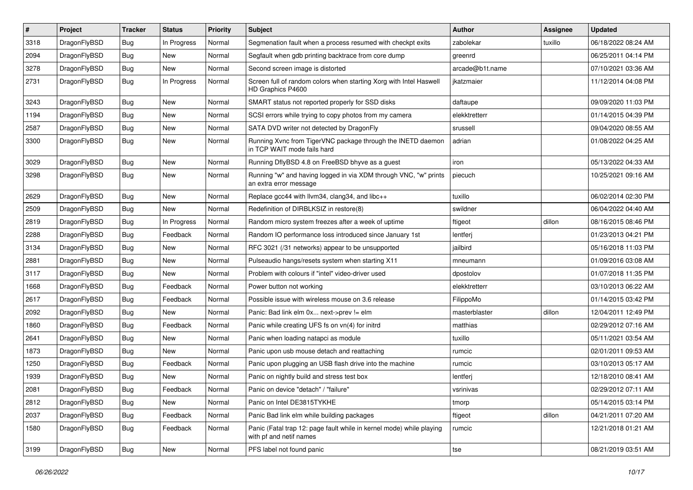| $\#$ | Project      | <b>Tracker</b> | <b>Status</b> | <b>Priority</b> | <b>Subject</b>                                                                                  | <b>Author</b>   | Assignee | <b>Updated</b>      |
|------|--------------|----------------|---------------|-----------------|-------------------------------------------------------------------------------------------------|-----------------|----------|---------------------|
| 3318 | DragonFlyBSD | <b>Bug</b>     | In Progress   | Normal          | Segmenation fault when a process resumed with checkpt exits                                     | zabolekar       | tuxillo  | 06/18/2022 08:24 AM |
| 2094 | DragonFlyBSD | <b>Bug</b>     | <b>New</b>    | Normal          | Segfault when gdb printing backtrace from core dump                                             | greenrd         |          | 06/25/2011 04:14 PM |
| 3278 | DragonFlyBSD | Bug            | New           | Normal          | Second screen image is distorted                                                                | arcade@b1t.name |          | 07/10/2021 03:36 AM |
| 2731 | DragonFlyBSD | Bug            | In Progress   | Normal          | Screen full of random colors when starting Xorg with Intel Haswell<br>HD Graphics P4600         | jkatzmaier      |          | 11/12/2014 04:08 PM |
| 3243 | DragonFlyBSD | <b>Bug</b>     | New           | Normal          | SMART status not reported properly for SSD disks                                                | daftaupe        |          | 09/09/2020 11:03 PM |
| 1194 | DragonFlyBSD | Bug            | <b>New</b>    | Normal          | SCSI errors while trying to copy photos from my camera                                          | elekktretterr   |          | 01/14/2015 04:39 PM |
| 2587 | DragonFlyBSD | Bug            | New           | Normal          | SATA DVD writer not detected by DragonFly                                                       | srussell        |          | 09/04/2020 08:55 AM |
| 3300 | DragonFlyBSD | Bug            | New           | Normal          | Running Xvnc from TigerVNC package through the INETD daemon<br>in TCP WAIT mode fails hard      | adrian          |          | 01/08/2022 04:25 AM |
| 3029 | DragonFlyBSD | <b>Bug</b>     | New           | Normal          | Running DflyBSD 4.8 on FreeBSD bhyve as a guest                                                 | iron            |          | 05/13/2022 04:33 AM |
| 3298 | DragonFlyBSD | Bug            | New           | Normal          | Running "w" and having logged in via XDM through VNC, "w" prints<br>an extra error message      | piecuch         |          | 10/25/2021 09:16 AM |
| 2629 | DragonFlyBSD | Bug            | New           | Normal          | Replace gcc44 with llvm34, clang34, and libc++                                                  | tuxillo         |          | 06/02/2014 02:30 PM |
| 2509 | DragonFlyBSD | Bug            | New           | Normal          | Redefinition of DIRBLKSIZ in restore(8)                                                         | swildner        |          | 06/04/2022 04:40 AM |
| 2819 | DragonFlyBSD | Bug            | In Progress   | Normal          | Random micro system freezes after a week of uptime                                              | ftigeot         | dillon   | 08/16/2015 08:46 PM |
| 2288 | DragonFlyBSD | Bug            | Feedback      | Normal          | Random IO performance loss introduced since January 1st                                         | lentferj        |          | 01/23/2013 04:21 PM |
| 3134 | DragonFlyBSD | <b>Bug</b>     | New           | Normal          | RFC 3021 (/31 networks) appear to be unsupported                                                | jailbird        |          | 05/16/2018 11:03 PM |
| 2881 | DragonFlyBSD | <b>Bug</b>     | New           | Normal          | Pulseaudio hangs/resets system when starting X11                                                | mneumann        |          | 01/09/2016 03:08 AM |
| 3117 | DragonFlyBSD | Bug            | New           | Normal          | Problem with colours if "intel" video-driver used                                               | dpostolov       |          | 01/07/2018 11:35 PM |
| 1668 | DragonFlyBSD | Bug            | Feedback      | Normal          | Power button not working                                                                        | elekktretterr   |          | 03/10/2013 06:22 AM |
| 2617 | DragonFlyBSD | <b>Bug</b>     | Feedback      | Normal          | Possible issue with wireless mouse on 3.6 release                                               | FilippoMo       |          | 01/14/2015 03:42 PM |
| 2092 | DragonFlyBSD | <b>Bug</b>     | New           | Normal          | Panic: Bad link elm 0x next->prev != elm                                                        | masterblaster   | dillon   | 12/04/2011 12:49 PM |
| 1860 | DragonFlyBSD | Bug            | Feedback      | Normal          | Panic while creating UFS fs on vn(4) for initrd                                                 | matthias        |          | 02/29/2012 07:16 AM |
| 2641 | DragonFlyBSD | Bug            | New           | Normal          | Panic when loading natapci as module                                                            | tuxillo         |          | 05/11/2021 03:54 AM |
| 1873 | DragonFlyBSD | <b>Bug</b>     | New           | Normal          | Panic upon usb mouse detach and reattaching                                                     | rumcic          |          | 02/01/2011 09:53 AM |
| 1250 | DragonFlyBSD | <b>Bug</b>     | Feedback      | Normal          | Panic upon plugging an USB flash drive into the machine                                         | rumcic          |          | 03/10/2013 05:17 AM |
| 1939 | DragonFlyBSD | <b>Bug</b>     | New           | Normal          | Panic on nightly build and stress test box                                                      | lentferj        |          | 12/18/2010 08:41 AM |
| 2081 | DragonFlyBSD | Bug            | Feedback      | Normal          | Panic on device "detach" / "failure"                                                            | vsrinivas       |          | 02/29/2012 07:11 AM |
| 2812 | DragonFlyBSD | Bug            | New           | Normal          | Panic on Intel DE3815TYKHE                                                                      | tmorp           |          | 05/14/2015 03:14 PM |
| 2037 | DragonFlyBSD | Bug            | Feedback      | Normal          | Panic Bad link elm while building packages                                                      | ftigeot         | dillon   | 04/21/2011 07:20 AM |
| 1580 | DragonFlyBSD | <b>Bug</b>     | Feedback      | Normal          | Panic (Fatal trap 12: page fault while in kernel mode) while playing<br>with pf and netif names | rumcic          |          | 12/21/2018 01:21 AM |
| 3199 | DragonFlyBSD | <b>Bug</b>     | New           | Normal          | PFS label not found panic                                                                       | tse             |          | 08/21/2019 03:51 AM |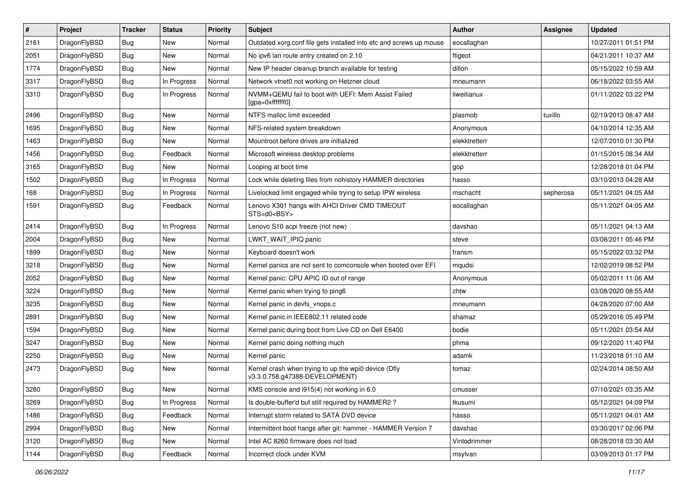| $\vert$ # | Project      | <b>Tracker</b> | <b>Status</b> | <b>Priority</b> | Subject                                                                                | Author        | Assignee  | <b>Updated</b>      |
|-----------|--------------|----------------|---------------|-----------------|----------------------------------------------------------------------------------------|---------------|-----------|---------------------|
| 2161      | DragonFlyBSD | <b>Bug</b>     | <b>New</b>    | Normal          | Outdated xorg.conf file gets installed into etc and screws up mouse                    | eocallaghan   |           | 10/27/2011 01:51 PM |
| 2051      | DragonFlyBSD | <b>Bug</b>     | <b>New</b>    | Normal          | No ipv6 lan route entry created on 2.10                                                | ftigeot       |           | 04/21/2011 10:37 AM |
| 1774      | DragonFlyBSD | <b>Bug</b>     | New           | Normal          | New IP header cleanup branch available for testing                                     | dillon        |           | 05/15/2022 10:59 AM |
| 3317      | DragonFlyBSD | Bug            | In Progress   | Normal          | Network vtnet0 not working on Hetzner cloud                                            | mneumann      |           | 06/18/2022 03:55 AM |
| 3310      | DragonFlyBSD | Bug            | In Progress   | Normal          | NVMM+QEMU fail to boot with UEFI: Mem Assist Failed<br>[gpa=0xfffffff0]                | liweitianux   |           | 01/11/2022 03:22 PM |
| 2496      | DragonFlyBSD | Bug            | <b>New</b>    | Normal          | NTFS malloc limit exceeded                                                             | plasmob       | tuxillo   | 02/19/2013 08:47 AM |
| 1695      | DragonFlyBSD | <b>Bug</b>     | <b>New</b>    | Normal          | NFS-related system breakdown                                                           | Anonymous     |           | 04/10/2014 12:35 AM |
| 1463      | DragonFlyBSD | Bug            | <b>New</b>    | Normal          | Mountroot before drives are initialized                                                | elekktretterr |           | 12/07/2010 01:30 PM |
| 1456      | DragonFlyBSD | Bug            | Feedback      | Normal          | Microsoft wireless desktop problems                                                    | elekktretterr |           | 01/15/2015 08:34 AM |
| 3165      | DragonFlyBSD | Bug            | New           | Normal          | Looping at boot time                                                                   | gop           |           | 12/28/2018 01:04 PM |
| 1502      | DragonFlyBSD | Bug            | In Progress   | Normal          | Lock while deleting files from nohistory HAMMER directories                            | hasso         |           | 03/10/2013 04:28 AM |
| 168       | DragonFlyBSD | <b>Bug</b>     | In Progress   | Normal          | Livelocked limit engaged while trying to setup IPW wireless                            | mschacht      | sepherosa | 05/11/2021 04:05 AM |
| 1591      | DragonFlyBSD | Bug            | Feedback      | Normal          | Lenovo X301 hangs with AHCI Driver CMD TIMEOUT<br>STS=d0 <bsy></bsy>                   | eocallaghan   |           | 05/11/2021 04:05 AM |
| 2414      | DragonFlyBSD | <b>Bug</b>     | In Progress   | Normal          | Lenovo S10 acpi freeze (not new)                                                       | davshao       |           | 05/11/2021 04:13 AM |
| 2004      | DragonFlyBSD | Bug            | <b>New</b>    | Normal          | LWKT WAIT IPIQ panic                                                                   | steve         |           | 03/08/2011 05:46 PM |
| 1899      | DragonFlyBSD | Bug            | <b>New</b>    | Normal          | Keyboard doesn't work                                                                  | fransm        |           | 05/15/2022 03:32 PM |
| 3218      | DragonFlyBSD | <b>Bug</b>     | <b>New</b>    | Normal          | Kernel panics are not sent to comconsole when booted over EFI                          | mqudsi        |           | 12/02/2019 08:52 PM |
| 2052      | DragonFlyBSD | Bug            | <b>New</b>    | Normal          | Kernel panic: CPU APIC ID out of range                                                 | Anonymous     |           | 05/02/2011 11:06 AM |
| 3224      | DragonFlyBSD | <b>Bug</b>     | <b>New</b>    | Normal          | Kernel panic when trying to ping6                                                      | zhtw          |           | 03/08/2020 08:55 AM |
| 3235      | DragonFlyBSD | Bug            | <b>New</b>    | Normal          | Kernel panic in devfs_vnops.c                                                          | mneumann      |           | 04/28/2020 07:00 AM |
| 2891      | DragonFlyBSD | <b>Bug</b>     | <b>New</b>    | Normal          | Kernel panic in IEEE802.11 related code                                                | shamaz        |           | 05/29/2016 05:49 PM |
| 1594      | DragonFlyBSD | <b>Bug</b>     | <b>New</b>    | Normal          | Kernel panic during boot from Live CD on Dell E6400                                    | bodie         |           | 05/11/2021 03:54 AM |
| 3247      | DragonFlyBSD | Bug            | New           | Normal          | Kernel panic doing nothing much                                                        | phma          |           | 09/12/2020 11:40 PM |
| 2250      | DragonFlyBSD | <b>Bug</b>     | <b>New</b>    | Normal          | Kernel panic                                                                           | adamk         |           | 11/23/2018 01:10 AM |
| 2473      | DragonFlyBSD | Bug            | New           | Normal          | Kernel crash when trying to up the wpi0 device (Dfly<br>v3.3.0.758.g47388-DEVELOPMENT) | tomaz         |           | 02/24/2014 08:50 AM |
| 3280      | DragonFlyBSD | Bug            | New           | Normal          | KMS console and i915(4) not working in 6.0                                             | cmusser       |           | 07/10/2021 03:35 AM |
| 3269      | DragonFlyBSD | Bug            | In Progress   | Normal          | Is double-buffer'd buf still required by HAMMER2?                                      | tkusumi       |           | 05/12/2021 04:09 PM |
| 1486      | DragonFlyBSD | Bug            | Feedback      | Normal          | Interrupt storm related to SATA DVD device                                             | hasso         |           | 05/11/2021 04:01 AM |
| 2994      | DragonFlyBSD | Bug            | New           | Normal          | Intermittent boot hangs after git: hammer - HAMMER Version 7                           | davshao       |           | 03/30/2017 02:06 PM |
| 3120      | DragonFlyBSD | <b>Bug</b>     | New           | Normal          | Intel AC 8260 firmware does not load                                                   | Vintodrimmer  |           | 08/28/2018 03:30 AM |
| 1144      | DragonFlyBSD | Bug            | Feedback      | Normal          | Incorrect clock under KVM                                                              | msylvan       |           | 03/09/2013 01:17 PM |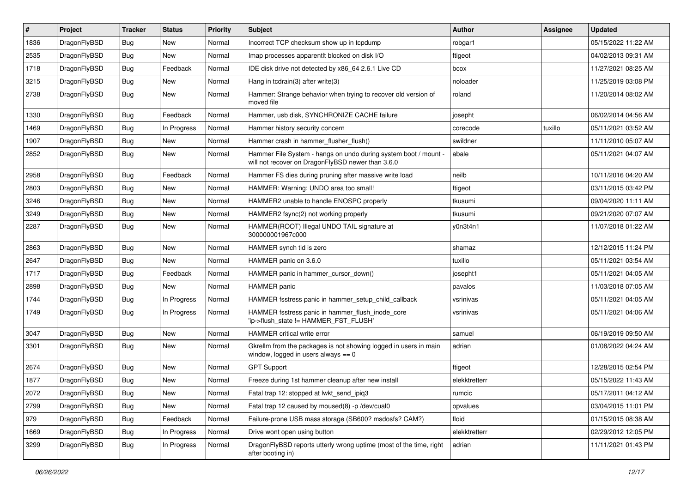| $\#$ | Project      | <b>Tracker</b> | <b>Status</b> | <b>Priority</b> | <b>Subject</b>                                                                                                       | <b>Author</b> | Assignee | <b>Updated</b>      |
|------|--------------|----------------|---------------|-----------------|----------------------------------------------------------------------------------------------------------------------|---------------|----------|---------------------|
| 1836 | DragonFlyBSD | <b>Bug</b>     | <b>New</b>    | Normal          | Incorrect TCP checksum show up in tcpdump                                                                            | robgar1       |          | 05/15/2022 11:22 AM |
| 2535 | DragonFlyBSD | Bug            | <b>New</b>    | Normal          | Imap processes apparentlt blocked on disk I/O                                                                        | ftigeot       |          | 04/02/2013 09:31 AM |
| 1718 | DragonFlyBSD | <b>Bug</b>     | Feedback      | Normal          | IDE disk drive not detected by x86 64 2.6.1 Live CD                                                                  | bcox          |          | 11/27/2021 08:25 AM |
| 3215 | DragonFlyBSD | <b>Bug</b>     | New           | Normal          | Hang in tcdrain(3) after write(3)                                                                                    | noloader      |          | 11/25/2019 03:08 PM |
| 2738 | DragonFlyBSD | Bug            | New           | Normal          | Hammer: Strange behavior when trying to recover old version of<br>moved file                                         | roland        |          | 11/20/2014 08:02 AM |
| 1330 | DragonFlyBSD | Bug            | Feedback      | Normal          | Hammer, usb disk, SYNCHRONIZE CACHE failure                                                                          | josepht       |          | 06/02/2014 04:56 AM |
| 1469 | DragonFlyBSD | <b>Bug</b>     | In Progress   | Normal          | Hammer history security concern                                                                                      | corecode      | tuxillo  | 05/11/2021 03:52 AM |
| 1907 | DragonFlyBSD | Bug            | New           | Normal          | Hammer crash in hammer_flusher_flush()                                                                               | swildner      |          | 11/11/2010 05:07 AM |
| 2852 | DragonFlyBSD | Bug            | New           | Normal          | Hammer File System - hangs on undo during system boot / mount -<br>will not recover on DragonFlyBSD newer than 3.6.0 | abale         |          | 05/11/2021 04:07 AM |
| 2958 | DragonFlyBSD | <b>Bug</b>     | Feedback      | Normal          | Hammer FS dies during pruning after massive write load                                                               | neilb         |          | 10/11/2016 04:20 AM |
| 2803 | DragonFlyBSD | <b>Bug</b>     | <b>New</b>    | Normal          | HAMMER: Warning: UNDO area too small!                                                                                | ftigeot       |          | 03/11/2015 03:42 PM |
| 3246 | DragonFlyBSD | <b>Bug</b>     | New           | Normal          | HAMMER2 unable to handle ENOSPC properly                                                                             | tkusumi       |          | 09/04/2020 11:11 AM |
| 3249 | DragonFlyBSD | <b>Bug</b>     | <b>New</b>    | Normal          | HAMMER2 fsync(2) not working properly                                                                                | tkusumi       |          | 09/21/2020 07:07 AM |
| 2287 | DragonFlyBSD | <b>Bug</b>     | New           | Normal          | HAMMER(ROOT) Illegal UNDO TAIL signature at<br>300000001967c000                                                      | y0n3t4n1      |          | 11/07/2018 01:22 AM |
| 2863 | DragonFlyBSD | Bug            | <b>New</b>    | Normal          | HAMMER synch tid is zero                                                                                             | shamaz        |          | 12/12/2015 11:24 PM |
| 2647 | DragonFlyBSD | <b>Bug</b>     | New           | Normal          | HAMMER panic on 3.6.0                                                                                                | tuxillo       |          | 05/11/2021 03:54 AM |
| 1717 | DragonFlyBSD | Bug            | Feedback      | Normal          | HAMMER panic in hammer cursor down()                                                                                 | josepht1      |          | 05/11/2021 04:05 AM |
| 2898 | DragonFlyBSD | <b>Bug</b>     | New           | Normal          | HAMMER panic                                                                                                         | pavalos       |          | 11/03/2018 07:05 AM |
| 1744 | DragonFlyBSD | <b>Bug</b>     | In Progress   | Normal          | HAMMER fsstress panic in hammer_setup_child_callback                                                                 | vsrinivas     |          | 05/11/2021 04:05 AM |
| 1749 | DragonFlyBSD | <b>Bug</b>     | In Progress   | Normal          | HAMMER fsstress panic in hammer_flush_inode_core<br>'ip->flush_state != HAMMER_FST_FLUSH'                            | vsrinivas     |          | 05/11/2021 04:06 AM |
| 3047 | DragonFlyBSD | Bug            | New           | Normal          | HAMMER critical write error                                                                                          | samuel        |          | 06/19/2019 09:50 AM |
| 3301 | DragonFlyBSD | Bug            | New           | Normal          | Gkrellm from the packages is not showing logged in users in main<br>window, logged in users always $== 0$            | adrian        |          | 01/08/2022 04:24 AM |
| 2674 | DragonFlyBSD | <b>Bug</b>     | New           | Normal          | <b>GPT Support</b>                                                                                                   | ftigeot       |          | 12/28/2015 02:54 PM |
| 1877 | DragonFlyBSD | <b>Bug</b>     | New           | Normal          | Freeze during 1st hammer cleanup after new install                                                                   | elekktretterr |          | 05/15/2022 11:43 AM |
| 2072 | DragonFlyBSD | <b>Bug</b>     | New           | Normal          | Fatal trap 12: stopped at lwkt_send_ipiq3                                                                            | rumcic        |          | 05/17/2011 04:12 AM |
| 2799 | DragonFlyBSD | <b>Bug</b>     | New           | Normal          | Fatal trap 12 caused by moused(8) -p /dev/cual0                                                                      | opvalues      |          | 03/04/2015 11:01 PM |
| 979  | DragonFlyBSD | <b>Bug</b>     | Feedback      | Normal          | Failure-prone USB mass storage (SB600? msdosfs? CAM?)                                                                | floid         |          | 01/15/2015 08:38 AM |
| 1669 | DragonFlyBSD | Bug            | In Progress   | Normal          | Drive wont open using button                                                                                         | elekktretterr |          | 02/29/2012 12:05 PM |
| 3299 | DragonFlyBSD | Bug            | In Progress   | Normal          | DragonFlyBSD reports utterly wrong uptime (most of the time, right<br>after booting in)                              | adrian        |          | 11/11/2021 01:43 PM |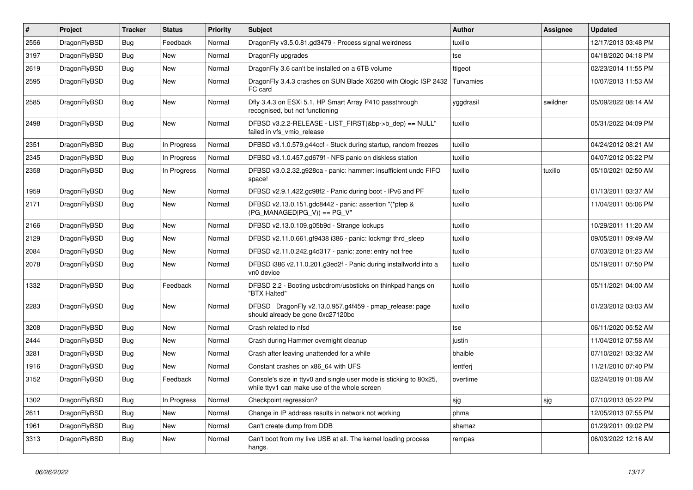| $\vert$ # | Project      | <b>Tracker</b> | <b>Status</b> | <b>Priority</b> | <b>Subject</b>                                                                                                     | <b>Author</b> | Assignee | Updated             |
|-----------|--------------|----------------|---------------|-----------------|--------------------------------------------------------------------------------------------------------------------|---------------|----------|---------------------|
| 2556      | DragonFlyBSD | <b>Bug</b>     | Feedback      | Normal          | DragonFly v3.5.0.81.gd3479 - Process signal weirdness                                                              | tuxillo       |          | 12/17/2013 03:48 PM |
| 3197      | DragonFlyBSD | <b>Bug</b>     | <b>New</b>    | Normal          | Dragon Fly upgrades                                                                                                | tse           |          | 04/18/2020 04:18 PM |
| 2619      | DragonFlyBSD | Bug            | <b>New</b>    | Normal          | DragonFly 3.6 can't be installed on a 6TB volume                                                                   | ftigeot       |          | 02/23/2014 11:55 PM |
| 2595      | DragonFlyBSD | Bug            | <b>New</b>    | Normal          | DragonFly 3.4.3 crashes on SUN Blade X6250 with Qlogic ISP 2432<br>FC card                                         | Turvamies     |          | 10/07/2013 11:53 AM |
| 2585      | DragonFlyBSD | <b>Bug</b>     | <b>New</b>    | Normal          | Dfly 3.4.3 on ESXi 5.1, HP Smart Array P410 passthrough<br>recognised, but not functioning                         | yggdrasil     | swildner | 05/09/2022 08:14 AM |
| 2498      | DragonFlyBSD | Bug            | New           | Normal          | DFBSD v3.2.2-RELEASE - LIST_FIRST(&bp->b_dep) == NULL"<br>failed in vfs_vmio_release                               | tuxillo       |          | 05/31/2022 04:09 PM |
| 2351      | DragonFlyBSD | <b>Bug</b>     | In Progress   | Normal          | DFBSD v3.1.0.579.g44ccf - Stuck during startup, random freezes                                                     | tuxillo       |          | 04/24/2012 08:21 AM |
| 2345      | DragonFlyBSD | <b>Bug</b>     | In Progress   | Normal          | DFBSD v3.1.0.457.gd679f - NFS panic on diskless station                                                            | tuxillo       |          | 04/07/2012 05:22 PM |
| 2358      | DragonFlyBSD | <b>Bug</b>     | In Progress   | Normal          | DFBSD v3.0.2.32.g928ca - panic: hammer: insufficient undo FIFO<br>space!                                           | tuxillo       | tuxillo  | 05/10/2021 02:50 AM |
| 1959      | DragonFlyBSD | <b>Bug</b>     | <b>New</b>    | Normal          | DFBSD v2.9.1.422.gc98f2 - Panic during boot - IPv6 and PF                                                          | tuxillo       |          | 01/13/2011 03:37 AM |
| 2171      | DragonFlyBSD | <b>Bug</b>     | <b>New</b>    | Normal          | DFBSD v2.13.0.151.gdc8442 - panic: assertion "(*ptep &<br>$(PG_MANAGED PG_V)$ == PG_V"                             | tuxillo       |          | 11/04/2011 05:06 PM |
| 2166      | DragonFlyBSD | Bug            | <b>New</b>    | Normal          | DFBSD v2.13.0.109.g05b9d - Strange lockups                                                                         | tuxillo       |          | 10/29/2011 11:20 AM |
| 2129      | DragonFlyBSD | Bug            | <b>New</b>    | Normal          | DFBSD v2.11.0.661.gf9438 i386 - panic: lockmgr thrd_sleep                                                          | tuxillo       |          | 09/05/2011 09:49 AM |
| 2084      | DragonFlyBSD | Bug            | <b>New</b>    | Normal          | DFBSD v2.11.0.242.g4d317 - panic: zone: entry not free                                                             | tuxillo       |          | 07/03/2012 01:23 AM |
| 2078      | DragonFlyBSD | <b>Bug</b>     | <b>New</b>    | Normal          | DFBSD i386 v2.11.0.201.g3ed2f - Panic during installworld into a<br>vn0 device                                     | tuxillo       |          | 05/19/2011 07:50 PM |
| 1332      | DragonFlyBSD | Bug            | Feedback      | Normal          | DFBSD 2.2 - Booting usbcdrom/usbsticks on thinkpad hangs on<br>"BTX Halted"                                        | tuxillo       |          | 05/11/2021 04:00 AM |
| 2283      | DragonFlyBSD | <b>Bug</b>     | <b>New</b>    | Normal          | DFBSD DragonFly v2.13.0.957.g4f459 - pmap_release: page<br>should already be gone 0xc27120bc                       | tuxillo       |          | 01/23/2012 03:03 AM |
| 3208      | DragonFlyBSD | <b>Bug</b>     | <b>New</b>    | Normal          | Crash related to nfsd                                                                                              | tse           |          | 06/11/2020 05:52 AM |
| 2444      | DragonFlyBSD | Bug            | <b>New</b>    | Normal          | Crash during Hammer overnight cleanup                                                                              | justin        |          | 11/04/2012 07:58 AM |
| 3281      | DragonFlyBSD | Bug            | <b>New</b>    | Normal          | Crash after leaving unattended for a while                                                                         | bhaible       |          | 07/10/2021 03:32 AM |
| 1916      | DragonFlyBSD | Bug            | <b>New</b>    | Normal          | Constant crashes on x86 64 with UFS                                                                                | lentferj      |          | 11/21/2010 07:40 PM |
| 3152      | DragonFlyBSD | Bug            | Feedback      | Normal          | Console's size in ttyv0 and single user mode is sticking to 80x25,<br>while ttyv1 can make use of the whole screen | overtime      |          | 02/24/2019 01:08 AM |
| 1302      | DragonFlyBSD | Bug            | In Progress   | Normal          | Checkpoint regression?                                                                                             | sjg           | sjg      | 07/10/2013 05:22 PM |
| 2611      | DragonFlyBSD | <b>Bug</b>     | <b>New</b>    | Normal          | Change in IP address results in network not working                                                                | phma          |          | 12/05/2013 07:55 PM |
| 1961      | DragonFlyBSD | Bug            | <b>New</b>    | Normal          | Can't create dump from DDB                                                                                         | shamaz        |          | 01/29/2011 09:02 PM |
| 3313      | DragonFlyBSD | Bug            | <b>New</b>    | Normal          | Can't boot from my live USB at all. The kernel loading process<br>hangs.                                           | rempas        |          | 06/03/2022 12:16 AM |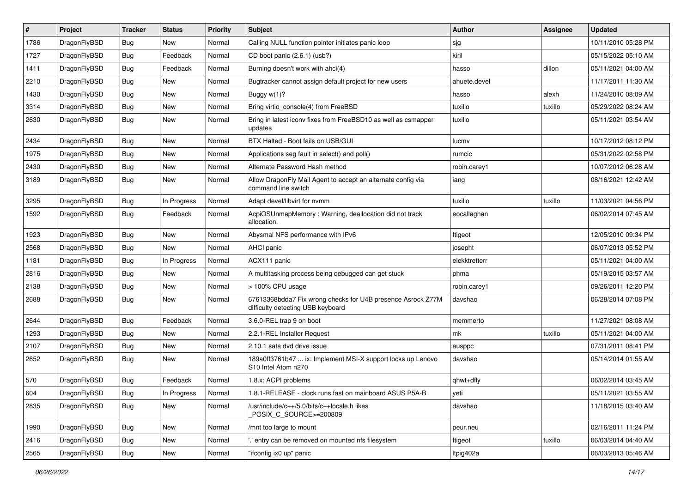| $\sharp$ | Project      | <b>Tracker</b> | <b>Status</b> | <b>Priority</b> | Subject                                                                                          | Author        | Assignee | <b>Updated</b>      |
|----------|--------------|----------------|---------------|-----------------|--------------------------------------------------------------------------------------------------|---------------|----------|---------------------|
| 1786     | DragonFlyBSD | Bug            | New           | Normal          | Calling NULL function pointer initiates panic loop                                               | sjg           |          | 10/11/2010 05:28 PM |
| 1727     | DragonFlyBSD | Bug            | Feedback      | Normal          | CD boot panic (2.6.1) (usb?)                                                                     | kiril         |          | 05/15/2022 05:10 AM |
| 1411     | DragonFlyBSD | <b>Bug</b>     | Feedback      | Normal          | Burning doesn't work with ahci(4)                                                                | hasso         | dillon   | 05/11/2021 04:00 AM |
| 2210     | DragonFlyBSD | <b>Bug</b>     | New           | Normal          | Bugtracker cannot assign default project for new users                                           | ahuete.devel  |          | 11/17/2011 11:30 AM |
| 1430     | DragonFlyBSD | Bug            | New           | Normal          | Buggy w(1)?                                                                                      | hasso         | alexh    | 11/24/2010 08:09 AM |
| 3314     | DragonFlyBSD | Bug            | New           | Normal          | Bring virtio console(4) from FreeBSD                                                             | tuxillo       | tuxillo  | 05/29/2022 08:24 AM |
| 2630     | DragonFlyBSD | Bug            | New           | Normal          | Bring in latest iconv fixes from FreeBSD10 as well as csmapper<br>updates                        | tuxillo       |          | 05/11/2021 03:54 AM |
| 2434     | DragonFlyBSD | Bug            | New           | Normal          | BTX Halted - Boot fails on USB/GUI                                                               | lucmv         |          | 10/17/2012 08:12 PM |
| 1975     | DragonFlyBSD | Bug            | <b>New</b>    | Normal          | Applications seg fault in select() and poll()                                                    | rumcic        |          | 05/31/2022 02:58 PM |
| 2430     | DragonFlyBSD | Bug            | New           | Normal          | Alternate Password Hash method                                                                   | robin.carey1  |          | 10/07/2012 06:28 AM |
| 3189     | DragonFlyBSD | Bug            | New           | Normal          | Allow DragonFly Mail Agent to accept an alternate config via<br>command line switch              | iang          |          | 08/16/2021 12:42 AM |
| 3295     | DragonFlyBSD | Bug            | In Progress   | Normal          | Adapt devel/libvirt for nvmm                                                                     | tuxillo       | tuxillo  | 11/03/2021 04:56 PM |
| 1592     | DragonFlyBSD | Bug            | Feedback      | Normal          | AcpiOSUnmapMemory: Warning, deallocation did not track<br>allocation.                            | eocallaghan   |          | 06/02/2014 07:45 AM |
| 1923     | DragonFlyBSD | Bug            | New           | Normal          | Abysmal NFS performance with IPv6                                                                | ftigeot       |          | 12/05/2010 09:34 PM |
| 2568     | DragonFlyBSD | Bug            | <b>New</b>    | Normal          | AHCI panic                                                                                       | josepht       |          | 06/07/2013 05:52 PM |
| 1181     | DragonFlyBSD | <b>Bug</b>     | In Progress   | Normal          | ACX111 panic                                                                                     | elekktretterr |          | 05/11/2021 04:00 AM |
| 2816     | DragonFlyBSD | <b>Bug</b>     | <b>New</b>    | Normal          | A multitasking process being debugged can get stuck                                              | phma          |          | 05/19/2015 03:57 AM |
| 2138     | DragonFlyBSD | <b>Bug</b>     | New           | Normal          | > 100% CPU usage                                                                                 | robin.carey1  |          | 09/26/2011 12:20 PM |
| 2688     | DragonFlyBSD | <b>Bug</b>     | New           | Normal          | 67613368bdda7 Fix wrong checks for U4B presence Asrock Z77M<br>difficulty detecting USB keyboard | davshao       |          | 06/28/2014 07:08 PM |
| 2644     | DragonFlyBSD | Bug            | Feedback      | Normal          | 3.6.0-REL trap 9 on boot                                                                         | memmerto      |          | 11/27/2021 08:08 AM |
| 1293     | DragonFlyBSD | <b>Bug</b>     | New           | Normal          | 2.2.1-REL Installer Request                                                                      | mk            | tuxillo  | 05/11/2021 04:00 AM |
| 2107     | DragonFlyBSD | Bug            | <b>New</b>    | Normal          | 2.10.1 sata dvd drive issue                                                                      | ausppc        |          | 07/31/2011 08:41 PM |
| 2652     | DragonFlyBSD | <b>Bug</b>     | New           | Normal          | 189a0ff3761b47  ix: Implement MSI-X support locks up Lenovo<br>S10 Intel Atom n270               | davshao       |          | 05/14/2014 01:55 AM |
| 570      | DragonFlyBSD | Bug            | Feedback      | Normal          | 1.8.x: ACPI problems                                                                             | qhwt+dfly     |          | 06/02/2014 03:45 AM |
| 604      | DragonFlyBSD | <b>Bug</b>     | In Progress   | Normal          | 1.8.1-RELEASE - clock runs fast on mainboard ASUS P5A-B                                          | yetı          |          | 05/11/2021 03:55 AM |
| 2835     | DragonFlyBSD | <b>Bug</b>     | New           | Normal          | /usr/include/c++/5.0/bits/c++locale.h likes<br>POSIX_C_SOURCE>=200809                            | davshao       |          | 11/18/2015 03:40 AM |
| 1990     | DragonFlyBSD | <b>Bug</b>     | <b>New</b>    | Normal          | /mnt too large to mount                                                                          | peur.neu      |          | 02/16/2011 11:24 PM |
| 2416     | DragonFlyBSD | <b>Bug</b>     | New           | Normal          | ".' entry can be removed on mounted nfs filesystem                                               | ftigeot       | tuxillo  | 06/03/2014 04:40 AM |
| 2565     | DragonFlyBSD | <b>Bug</b>     | New           | Normal          | "ifconfig ix0 up" panic                                                                          | ltpig402a     |          | 06/03/2013 05:46 AM |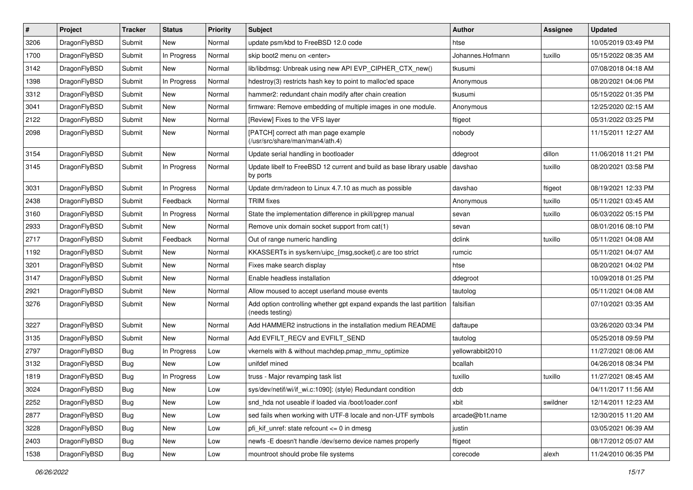| $\sharp$ | Project      | <b>Tracker</b> | <b>Status</b> | <b>Priority</b> | Subject                                                                                 | <b>Author</b>    | <b>Assignee</b> | <b>Updated</b>      |
|----------|--------------|----------------|---------------|-----------------|-----------------------------------------------------------------------------------------|------------------|-----------------|---------------------|
| 3206     | DragonFlyBSD | Submit         | New           | Normal          | update psm/kbd to FreeBSD 12.0 code                                                     | htse             |                 | 10/05/2019 03:49 PM |
| 1700     | DragonFlyBSD | Submit         | In Progress   | Normal          | skip boot2 menu on <enter></enter>                                                      | Johannes.Hofmann | tuxillo         | 05/15/2022 08:35 AM |
| 3142     | DragonFlyBSD | Submit         | New           | Normal          | lib/libdmsg: Unbreak using new API EVP CIPHER CTX new()                                 | tkusumi          |                 | 07/08/2018 04:18 AM |
| 1398     | DragonFlyBSD | Submit         | In Progress   | Normal          | hdestroy(3) restricts hash key to point to malloc'ed space                              | Anonymous        |                 | 08/20/2021 04:06 PM |
| 3312     | DragonFlyBSD | Submit         | New           | Normal          | hammer2: redundant chain modify after chain creation                                    | tkusumi          |                 | 05/15/2022 01:35 PM |
| 3041     | DragonFlyBSD | Submit         | New           | Normal          | firmware: Remove embedding of multiple images in one module.                            | Anonymous        |                 | 12/25/2020 02:15 AM |
| 2122     | DragonFlyBSD | Submit         | New           | Normal          | [Review] Fixes to the VFS layer                                                         | ftigeot          |                 | 05/31/2022 03:25 PM |
| 2098     | DragonFlyBSD | Submit         | New           | Normal          | [PATCH] correct ath man page example<br>(/usr/src/share/man/man4/ath.4)                 | nobody           |                 | 11/15/2011 12:27 AM |
| 3154     | DragonFlyBSD | Submit         | <b>New</b>    | Normal          | Update serial handling in bootloader                                                    | ddegroot         | dillon          | 11/06/2018 11:21 PM |
| 3145     | DragonFlyBSD | Submit         | In Progress   | Normal          | Update libelf to FreeBSD 12 current and build as base library usable<br>by ports        | davshao          | tuxillo         | 08/20/2021 03:58 PM |
| 3031     | DragonFlyBSD | Submit         | In Progress   | Normal          | Update drm/radeon to Linux 4.7.10 as much as possible                                   | davshao          | ftigeot         | 08/19/2021 12:33 PM |
| 2438     | DragonFlyBSD | Submit         | Feedback      | Normal          | <b>TRIM</b> fixes                                                                       | Anonymous        | tuxillo         | 05/11/2021 03:45 AM |
| 3160     | DragonFlyBSD | Submit         | In Progress   | Normal          | State the implementation difference in pkill/pgrep manual                               | sevan            | tuxillo         | 06/03/2022 05:15 PM |
| 2933     | DragonFlyBSD | Submit         | New           | Normal          | Remove unix domain socket support from cat(1)                                           | sevan            |                 | 08/01/2016 08:10 PM |
| 2717     | DragonFlyBSD | Submit         | Feedback      | Normal          | Out of range numeric handling                                                           | dclink           | tuxillo         | 05/11/2021 04:08 AM |
| 1192     | DragonFlyBSD | Submit         | New           | Normal          | KKASSERTs in sys/kern/uipc_{msg,socket}.c are too strict                                | rumcic           |                 | 05/11/2021 04:07 AM |
| 3201     | DragonFlyBSD | Submit         | New           | Normal          | Fixes make search display                                                               | htse             |                 | 08/20/2021 04:02 PM |
| 3147     | DragonFlyBSD | Submit         | New           | Normal          | Enable headless installation                                                            | ddegroot         |                 | 10/09/2018 01:25 PM |
| 2921     | DragonFlyBSD | Submit         | New           | Normal          | Allow moused to accept userland mouse events                                            | tautolog         |                 | 05/11/2021 04:08 AM |
| 3276     | DragonFlyBSD | Submit         | New           | Normal          | Add option controlling whether gpt expand expands the last partition<br>(needs testing) | falsifian        |                 | 07/10/2021 03:35 AM |
| 3227     | DragonFlyBSD | Submit         | New           | Normal          | Add HAMMER2 instructions in the installation medium README                              | daftaupe         |                 | 03/26/2020 03:34 PM |
| 3135     | DragonFlyBSD | Submit         | New           | Normal          | Add EVFILT_RECV and EVFILT_SEND                                                         | tautolog         |                 | 05/25/2018 09:59 PM |
| 2797     | DragonFlyBSD | <b>Bug</b>     | In Progress   | Low             | vkernels with & without machdep.pmap_mmu_optimize                                       | yellowrabbit2010 |                 | 11/27/2021 08:06 AM |
| 3132     | DragonFlyBSD | <b>Bug</b>     | New           | Low             | unifdef mined                                                                           | bcallah          |                 | 04/26/2018 08:34 PM |
| 1819     | DragonFlyBSD | <b>Bug</b>     | In Progress   | Low             | truss - Major revamping task list                                                       | tuxillo          | tuxillo         | 11/27/2021 08:45 AM |
| 3024     | DragonFlyBSD | Bug            | <b>New</b>    | Low             | sys/dev/netif/wi/if_wi.c:1090]: (style) Redundant condition                             | dcb              |                 | 04/11/2017 11:56 AM |
| 2252     | DragonFlyBSD | <b>Bug</b>     | New           | Low             | snd hda not useable if loaded via /boot/loader.conf                                     | xbit             | swildner        | 12/14/2011 12:23 AM |
| 2877     | DragonFlyBSD | Bug            | New           | Low             | sed fails when working with UTF-8 locale and non-UTF symbols                            | arcade@b1t.name  |                 | 12/30/2015 11:20 AM |
| 3228     | DragonFlyBSD | <b>Bug</b>     | New           | Low             | pfi kif unref: state refcount $\leq$ 0 in dmesq                                         | justin           |                 | 03/05/2021 06:39 AM |
| 2403     | DragonFlyBSD | Bug            | New           | Low             | newfs -E doesn't handle /dev/serno device names properly                                | ftigeot          |                 | 08/17/2012 05:07 AM |
| 1538     | DragonFlyBSD | Bug            | New           | Low             | mountroot should probe file systems                                                     | corecode         | alexh           | 11/24/2010 06:35 PM |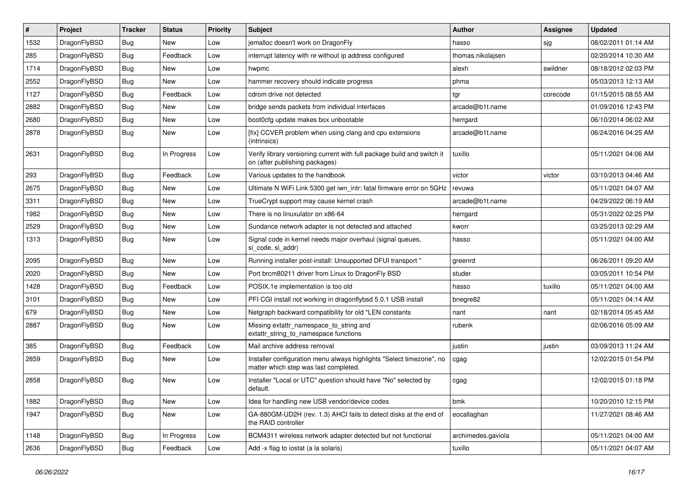| $\vert$ # | Project      | <b>Tracker</b> | <b>Status</b> | <b>Priority</b> | <b>Subject</b>                                                                                                | <b>Author</b>      | <b>Assignee</b> | <b>Updated</b>      |
|-----------|--------------|----------------|---------------|-----------------|---------------------------------------------------------------------------------------------------------------|--------------------|-----------------|---------------------|
| 1532      | DragonFlyBSD | Bug            | <b>New</b>    | Low             | jemalloc doesn't work on DragonFly                                                                            | hasso              | sjg             | 08/02/2011 01:14 AM |
| 285       | DragonFlyBSD | <b>Bug</b>     | Feedback      | Low             | interrupt latency with re without ip address configured                                                       | thomas.nikolajsen  |                 | 02/20/2014 10:30 AM |
| 1714      | DragonFlyBSD | <b>Bug</b>     | <b>New</b>    | Low             | hwpmc                                                                                                         | alexh              | swildner        | 08/18/2012 02:03 PM |
| 2552      | DragonFlyBSD | Bug            | <b>New</b>    | Low             | hammer recovery should indicate progress                                                                      | phma               |                 | 05/03/2013 12:13 AM |
| 1127      | DragonFlyBSD | <b>Bug</b>     | Feedback      | Low             | cdrom drive not detected                                                                                      | tgr                | corecode        | 01/15/2015 08:55 AM |
| 2882      | DragonFlyBSD | <b>Bug</b>     | <b>New</b>    | Low             | bridge sends packets from individual interfaces                                                               | arcade@b1t.name    |                 | 01/09/2016 12:43 PM |
| 2680      | DragonFlyBSD | Bug            | <b>New</b>    | Low             | boot0cfg update makes box unbootable                                                                          | herrgard           |                 | 06/10/2014 06:02 AM |
| 2878      | DragonFlyBSD | Bug            | <b>New</b>    | Low             | [fix] CCVER problem when using clang and cpu extensions<br>(intrinsics)                                       | arcade@b1t.name    |                 | 06/24/2016 04:25 AM |
| 2631      | DragonFlyBSD | Bug            | In Progress   | Low             | Verify library versioning current with full package build and switch it<br>on (after publishing packages)     | tuxillo            |                 | 05/11/2021 04:06 AM |
| 293       | DragonFlyBSD | Bug            | Feedback      | Low             | Various updates to the handbook                                                                               | victor             | victor          | 03/10/2013 04:46 AM |
| 2675      | DragonFlyBSD | <b>Bug</b>     | <b>New</b>    | Low             | Ultimate N WiFi Link 5300 get iwn_intr: fatal firmware error on 5GHz                                          | revuwa             |                 | 05/11/2021 04:07 AM |
| 3311      | DragonFlyBSD | <b>Bug</b>     | <b>New</b>    | Low             | TrueCrypt support may cause kernel crash                                                                      | arcade@b1t.name    |                 | 04/29/2022 06:19 AM |
| 1982      | DragonFlyBSD | Bug            | <b>New</b>    | Low             | There is no linuxulator on x86-64                                                                             | herrgard           |                 | 05/31/2022 02:25 PM |
| 2529      | DragonFlyBSD | <b>Bug</b>     | <b>New</b>    | Low             | Sundance network adapter is not detected and attached                                                         | kworr              |                 | 03/25/2013 02:29 AM |
| 1313      | DragonFlyBSD | Bug            | <b>New</b>    | Low             | Signal code in kernel needs major overhaul (signal queues,<br>si_code, si_addr)                               | hasso              |                 | 05/11/2021 04:00 AM |
| 2095      | DragonFlyBSD | <b>Bug</b>     | <b>New</b>    | Low             | Running installer post-install: Unsupported DFUI transport "                                                  | greenrd            |                 | 06/26/2011 09:20 AM |
| 2020      | DragonFlyBSD | Bug            | <b>New</b>    | Low             | Port brcm80211 driver from Linux to DragonFly BSD                                                             | studer             |                 | 03/05/2011 10:54 PM |
| 1428      | DragonFlyBSD | <b>Bug</b>     | Feedback      | Low             | POSIX.1e implementation is too old                                                                            | hasso              | tuxillo         | 05/11/2021 04:00 AM |
| 3101      | DragonFlyBSD | <b>Bug</b>     | <b>New</b>    | Low             | PFI CGI install not working in dragonflybsd 5.0.1 USB install                                                 | bnegre82           |                 | 05/11/2021 04:14 AM |
| 679       | DragonFlyBSD | <b>Bug</b>     | <b>New</b>    | Low             | Netgraph backward compatibility for old *LEN constants                                                        | nant               | nant            | 02/18/2014 05:45 AM |
| 2887      | DragonFlyBSD | <b>Bug</b>     | New           | Low             | Missing extattr_namespace_to_string and<br>extattr_string_to_namespace functions                              | rubenk             |                 | 02/06/2016 05:09 AM |
| 385       | DragonFlyBSD | <b>Bug</b>     | Feedback      | Low             | Mail archive address removal                                                                                  | justin             | justin          | 03/09/2013 11:24 AM |
| 2859      | DragonFlyBSD | <b>Bug</b>     | New           | Low             | Installer configuration menu always highlights "Select timezone", no<br>matter which step was last completed. | cgag               |                 | 12/02/2015 01:54 PM |
| 2858      | DragonFlyBSD | <b>Bug</b>     | <b>New</b>    | Low             | Installer "Local or UTC" question should have "No" selected by<br>default.                                    | cgag               |                 | 12/02/2015 01:18 PM |
| 1882      | DragonFlyBSD | Bug            | New           | Low             | Idea for handling new USB vendor/device codes                                                                 | bmk                |                 | 10/20/2010 12:15 PM |
| 1947      | DragonFlyBSD | <b>Bug</b>     | New           | Low             | GA-880GM-UD2H (rev. 1.3) AHCI fails to detect disks at the end of<br>the RAID controller                      | eocallaghan        |                 | 11/27/2021 08:46 AM |
| 1148      | DragonFlyBSD | Bug            | In Progress   | Low             | BCM4311 wireless network adapter detected but not functional                                                  | archimedes.gaviola |                 | 05/11/2021 04:00 AM |
| 2636      | DragonFlyBSD | <b>Bug</b>     | Feedback      | Low             | Add -x flag to iostat (a la solaris)                                                                          | tuxillo            |                 | 05/11/2021 04:07 AM |